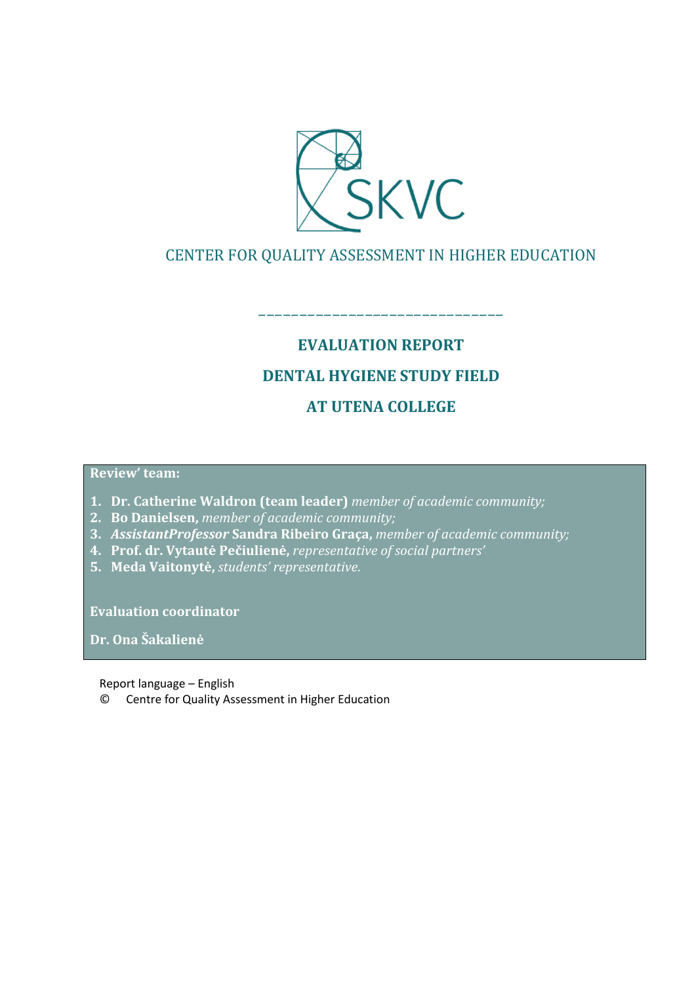

## CENTER FOR QUALITY ASSESSMENT IN HIGHER EDUCATION

––––––––––––––––––––––––––––––

# **EVALUATION REPORT DENTAL HYGIENE STUDY FIELD AT UTENA COLLEGE**

#### **Review' team:**

- **1. Dr. Catherine Waldron (team leader)** *member of academic community;*
- **2. Bo Danielsen,** *member of academic community;*
- **3.** *AssistantProfessor* **Sandra Ribeiro Graça,** *member of academic community;*
- **4. Prof. dr. Vytautė Pečiulienė,** *representative of social partners'*
- **5. Meda Vaitonytė,** *students' representative*.

**Evaluation coordinator** 

**Dr. Ona Šakalienė**

Report language – English

© Centre for Quality Assessment in Higher Education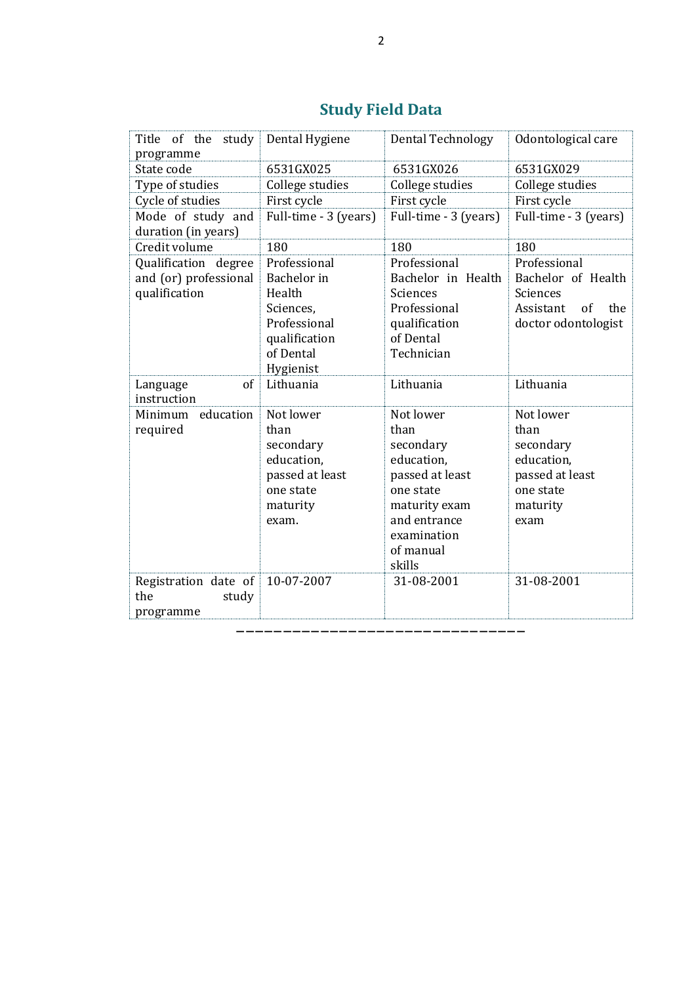| Title<br>of the<br>study<br>programme    | Dental Hygiene        | <b>Dental Technology</b> | Odontological care     |
|------------------------------------------|-----------------------|--------------------------|------------------------|
| State code                               | 6531GX025             | 6531GX026                | 6531GX029              |
| Type of studies                          | College studies       | College studies          | College studies        |
| Cycle of studies                         | First cycle           | First cycle              | First cycle            |
| Mode of study and<br>duration (in years) | Full-time - 3 (years) | Full-time - 3 (years)    | Full-time - 3 (years)  |
| Credit volume                            | 180                   | 180                      | 180                    |
| Qualification degree                     | Professional          | Professional             | Professional           |
| and (or) professional                    | Bachelor in           | Bachelor in Health       | Bachelor of Health     |
| qualification                            | Health                | Sciences                 | Sciences               |
|                                          | Sciences,             | Professional             | Assistant<br>the<br>of |
|                                          | Professional          | qualification            | doctor odontologist    |
|                                          | qualification         | of Dental                |                        |
|                                          | of Dental             | Technician               |                        |
|                                          | Hygienist             |                          |                        |
| of<br>Language                           | Lithuania             | Lithuania                | Lithuania              |
| instruction                              |                       |                          |                        |
| Minimum education                        | Not lower             | Not lower                | Not lower              |
| required                                 | than                  | than                     | than                   |
|                                          | secondary             | secondary                | secondary              |
|                                          | education,            | education.               | education,             |
|                                          | passed at least       | passed at least          | passed at least        |
|                                          | one state             | one state                | one state              |
|                                          | maturity              | maturity exam            | maturity               |
|                                          | exam.                 | and entrance             | exam                   |
|                                          |                       | examination              |                        |
|                                          |                       | of manual                |                        |
|                                          |                       | skills                   |                        |
| Registration date of                     | 10-07-2007            | 31-08-2001               | 31-08-2001             |
| the<br>study                             |                       |                          |                        |
| programme                                |                       |                          |                        |

–––––––––––––––––––––––––––––––

## **Study Field Data**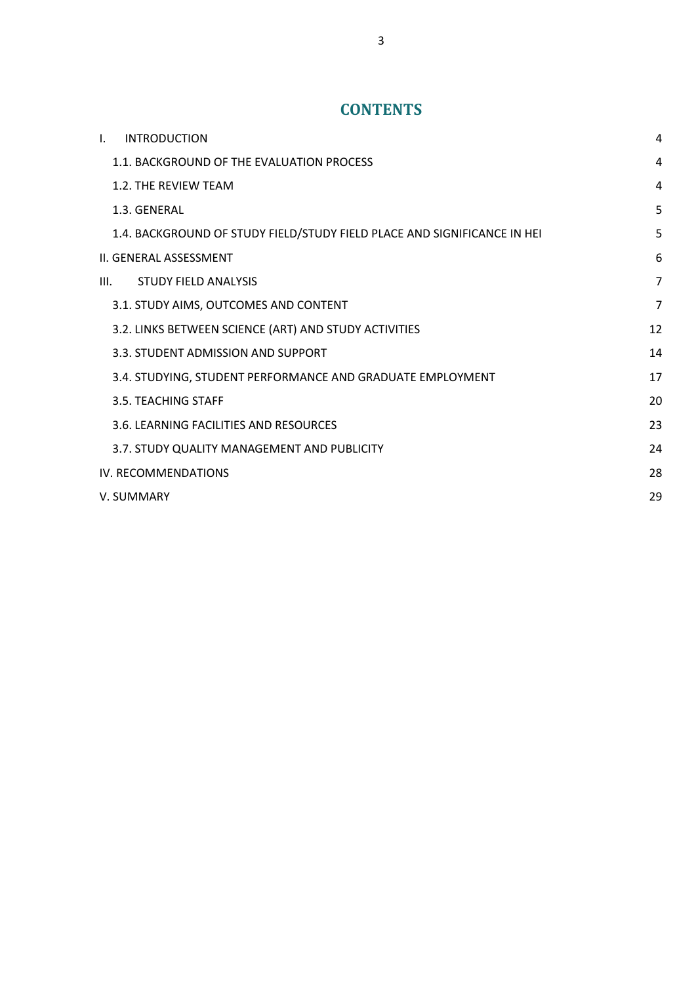## **CONTENTS**

| $\mathbf{I}$ .                | <b>INTRODUCTION</b>                                                      | 4  |
|-------------------------------|--------------------------------------------------------------------------|----|
|                               | 1.1. BACKGROUND OF THE EVALUATION PROCESS                                | 4  |
|                               | 1.2. THE REVIEW TEAM                                                     | 4  |
|                               | 1.3. GENERAL                                                             | 5  |
|                               | 1.4. BACKGROUND OF STUDY FIELD/STUDY FIELD PLACE AND SIGNIFICANCE IN HEI | 5  |
| <b>II. GENERAL ASSESSMENT</b> |                                                                          |    |
| III.                          | <b>STUDY FIELD ANALYSIS</b>                                              | 7  |
|                               | 3.1. STUDY AIMS, OUTCOMES AND CONTENT                                    | 7  |
|                               | 3.2. LINKS BETWEEN SCIENCE (ART) AND STUDY ACTIVITIES                    | 12 |
|                               | 3.3. STUDENT ADMISSION AND SUPPORT                                       | 14 |
|                               | 3.4. STUDYING, STUDENT PERFORMANCE AND GRADUATE EMPLOYMENT               | 17 |
|                               | 3.5. TEACHING STAFF                                                      | 20 |
|                               | 3.6. LEARNING FACILITIES AND RESOURCES                                   | 23 |
|                               | 3.7. STUDY QUALITY MANAGEMENT AND PUBLICITY                              | 24 |
|                               | IV. RECOMMENDATIONS                                                      |    |
|                               | V. SUMMARY                                                               | 29 |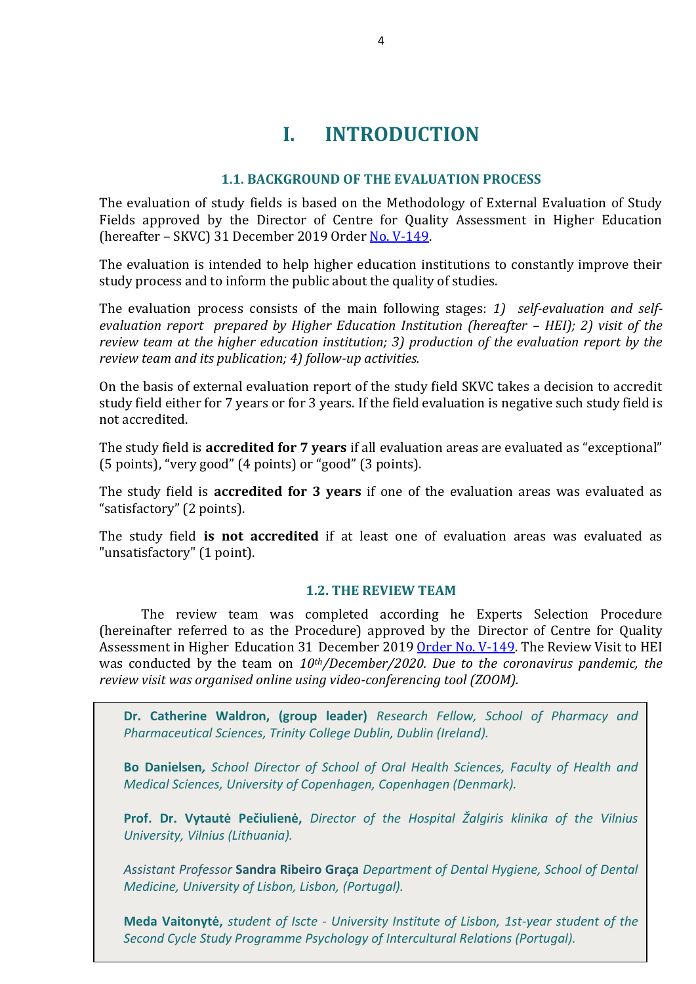## **I. INTRODUCTION**

#### **1.1. BACKGROUND OF THE EVALUATION PROCESS**

<span id="page-3-1"></span><span id="page-3-0"></span>The evaluation of study fields is based on the Methodology of External Evaluation of Study Fields approved by the Director of Centre for Quality Assessment in Higher Education (hereafter – SKVC) 31 December 2019 Order [No. V-149.](https://www.skvc.lt/uploads/lawacts/docs/352_67a9ef6994827300f90385d1fdd321f1.pdf)

The evaluation is intended to help higher education institutions to constantly improve their study process and to inform the public about the quality of studies.

The evaluation process consists of the main following stages: *1) self-evaluation and selfevaluation report prepared by Higher Education Institution (hereafter - HEI); 2) visit of the review team at the higher education institution; 3) production of the evaluation report by the review team and its publication; 4) follow-up activities.* 

On the basis of external evaluation report of the study field SKVC takes a decision to accredit study field either for 7 years or for 3 years. If the field evaluation is negative such study field is not accredited.

The study field is **accredited for 7 years** if all evaluation areas are evaluated as "exceptional" (5 points), "very good" (4 points) or "good" (3 points).

The study field is **accredited for 3 years** if one of the evaluation areas was evaluated as "satisfactory" (2 points).

The study field **is not accredited** if at least one of evaluation areas was evaluated as "unsatisfactory" (1 point).

#### **1.2. THE REVIEW TEAM**

<span id="page-3-2"></span>The review team was completed according he Experts Selection Procedure (hereinafter referred to as the Procedure) approved by the Director of Centre for Quality Assessment in Higher Education 31 December 2019 [Order No. V-149.](https://www.skvc.lt/uploads/lawacts/docs/349_3c24730602f3906bb3af174e1e94badb.pdf) The Review Visit to HEI was conducted by the team on *10th/December/2020. Due to the coronavirus pandemic, the review visit was organised online using video-conferencing tool (ZOOM).*

**Dr. Catherine Waldron, (group leader)** *Research Fellow, School of Pharmacy and Pharmaceutical Sciences, Trinity College Dublin, Dublin (Ireland).*

**Bo Danielsen***, School Director of School of Oral Health Sciences, Faculty of Health and Medical Sciences, University of Copenhagen, Copenhagen (Denmark).*

**Prof. Dr. Vytautė Pečiulienė,** *Director of the Hospital Žalgiris klinika of the Vilnius University, Vilnius (Lithuania).*

*Assistant Professor* **Sandra Ribeiro Graça** *Department of Dental Hygiene, School of Dental Medicine, University of Lisbon, Lisbon, (Portugal).*

**Meda Vaitonytė,** *student of Iscte - University Institute of Lisbon, 1st-year student of the Second Cycle Study Programme Psychology of Intercultural Relations (Portugal).*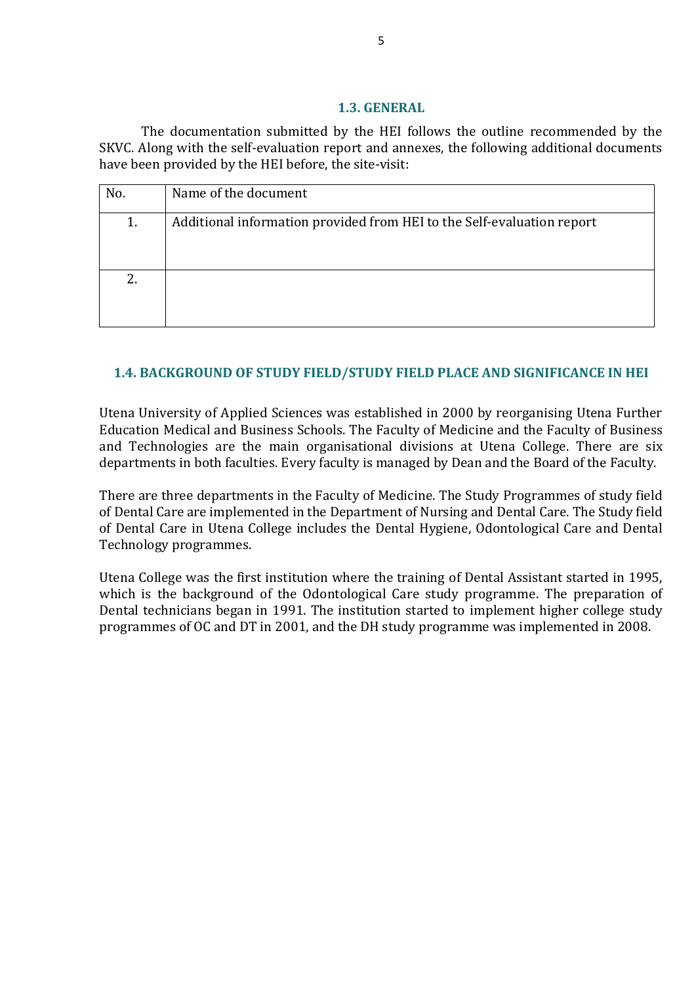#### **1.3. GENERAL**

<span id="page-4-0"></span>The documentation submitted by the HEI follows the outline recommended by the SKVC. Along with the self-evaluation report and annexes, the following additional documents have been provided by the HEI before, the site-visit:

| No. | Name of the document                                                   |
|-----|------------------------------------------------------------------------|
| 1.  | Additional information provided from HEI to the Self-evaluation report |
| 2.  |                                                                        |

## <span id="page-4-1"></span>**1.4. BACKGROUND OF STUDY FIELD/STUDY FIELD PLACE AND SIGNIFICANCE IN HEI**

Utena University of Applied Sciences was established in 2000 by reorganising Utena Further Education Medical and Business Schools. The Faculty of Medicine and the Faculty of Business and Technologies are the main organisational divisions at Utena College. There are six departments in both faculties. Every faculty is managed by Dean and the Board of the Faculty.

There are three departments in the Faculty of Medicine. The Study Programmes of study field of Dental Care are implemented in the Department of Nursing and Dental Care. The Study field of Dental Care in Utena College includes the Dental Hygiene, Odontological Care and Dental Technology programmes.

Utena College was the first institution where the training of Dental Assistant started in 1995, which is the background of the Odontological Care study programme. The preparation of Dental technicians began in 1991. The institution started to implement higher college study programmes of OC and DT in 2001, and the DH study programme was implemented in 2008.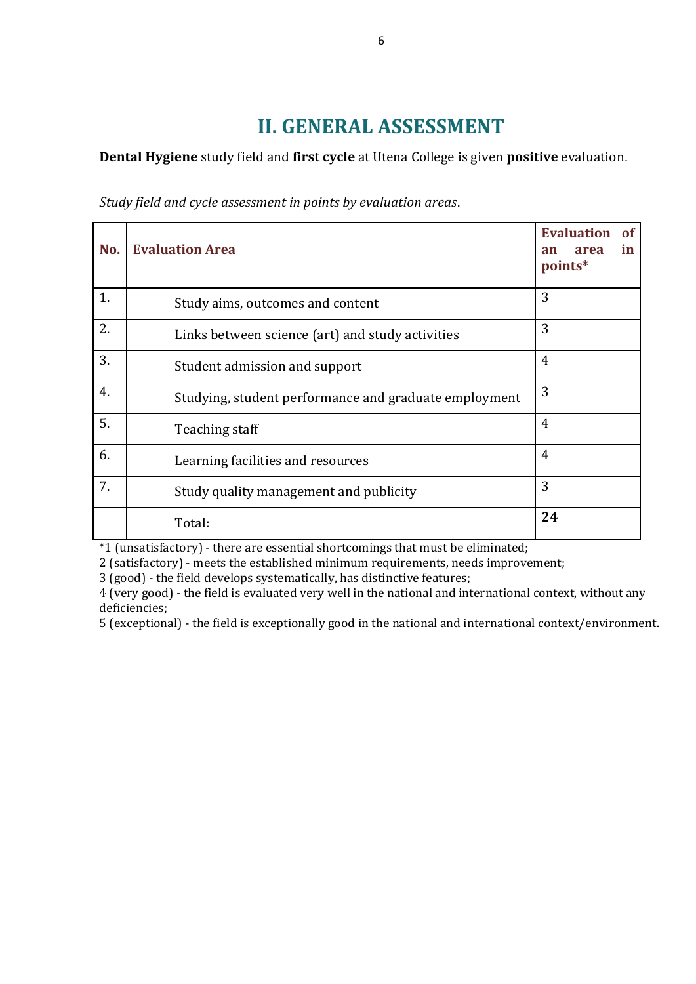## **II. GENERAL ASSESSMENT**

<span id="page-5-0"></span>**Dental Hygiene** study field and **first cycle** at Utena College is given **positive** evaluation.

*Study field and cycle assessment in points by evaluation areas*.

| No. | <b>Evaluation Area</b>                                | <b>Evaluation</b><br><b>of</b><br>in<br>area<br>an<br>points* |
|-----|-------------------------------------------------------|---------------------------------------------------------------|
| 1.  | Study aims, outcomes and content                      | 3                                                             |
| 2.  | Links between science (art) and study activities      | 3                                                             |
| 3.  | Student admission and support                         | $\overline{4}$                                                |
| 4.  | Studying, student performance and graduate employment | 3                                                             |
| 5.  | Teaching staff                                        | $\overline{4}$                                                |
| 6.  | Learning facilities and resources                     | 4                                                             |
| 7.  | Study quality management and publicity                | 3                                                             |
|     | Total:                                                | 24                                                            |

\*1 (unsatisfactory) - there are essential shortcomings that must be eliminated;

2 (satisfactory) - meets the established minimum requirements, needs improvement;

3 (good) - the field develops systematically, has distinctive features;

4 (very good) - the field is evaluated very well in the national and international context, without any deficiencies;

5 (exceptional) - the field is exceptionally good in the national and international context/environment.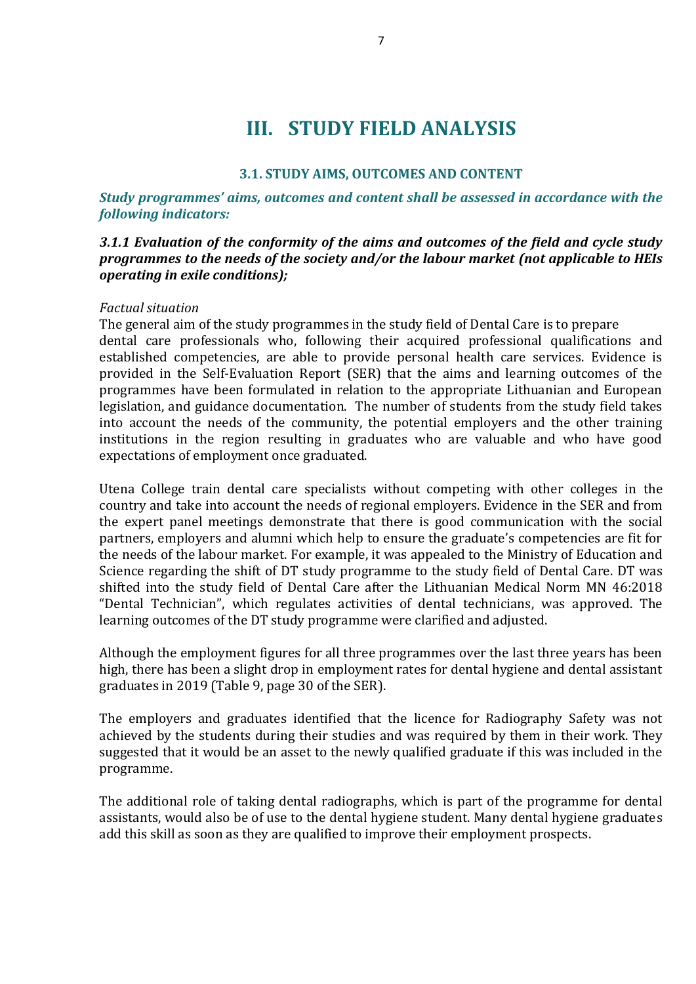## **III. STUDY FIELD ANALYSIS**

#### **3.1. STUDY AIMS, OUTCOMES AND CONTENT**

<span id="page-6-1"></span><span id="page-6-0"></span>*Study programmes' aims, outcomes and content shall be assessed in accordance with the following indicators:* 

#### *3.1.1 Evaluation of the conformity of the aims and outcomes of the field and cycle study programmes to the needs of the society and/or the labour market (not applicable to HEIs operating in exile conditions);*

#### *Factual situation*

The general aim of the study programmes in the study field of Dental Care is to prepare dental care professionals who, following their acquired professional qualifications and established competencies, are able to provide personal health care services. Evidence is provided in the Self-Evaluation Report (SER) that the aims and learning outcomes of the programmes have been formulated in relation to the appropriate Lithuanian and European legislation, and guidance documentation. The number of students from the study field takes into account the needs of the community, the potential employers and the other training institutions in the region resulting in graduates who are valuable and who have good expectations of employment once graduated.

Utena College train dental care specialists without competing with other colleges in the country and take into account the needs of regional employers. Evidence in the SER and from the expert panel meetings demonstrate that there is good communication with the social partners, employers and alumni which help to ensure the graduate's competencies are fit for the needs of the labour market. For example, it was appealed to the Ministry of Education and Science regarding the shift of DT study programme to the study field of Dental Care. DT was shifted into the study field of Dental Care after the Lithuanian Medical Norm MN 46:2018 "Dental Technician", which regulates activities of dental technicians, was approved. The learning outcomes of the DT study programme were clarified and adjusted.

Although the employment figures for all three programmes over the last three years has been high, there has been a slight drop in employment rates for dental hygiene and dental assistant graduates in 2019 (Table 9, page 30 of the SER).

The employers and graduates identified that the licence for Radiography Safety was not achieved by the students during their studies and was required by them in their work. They suggested that it would be an asset to the newly qualified graduate if this was included in the programme.

The additional role of taking dental radiographs, which is part of the programme for dental assistants, would also be of use to the dental hygiene student. Many dental hygiene graduates add this skill as soon as they are qualified to improve their employment prospects.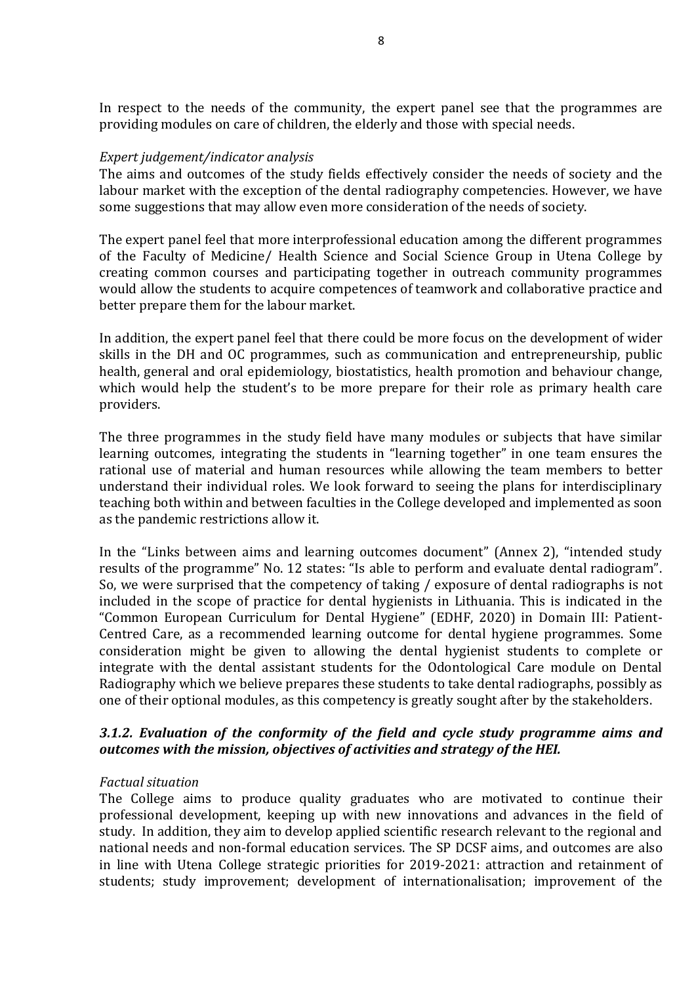In respect to the needs of the community, the expert panel see that the programmes are providing modules on care of children, the elderly and those with special needs.

#### *Expert judgement/indicator analysis*

The aims and outcomes of the study fields effectively consider the needs of society and the labour market with the exception of the dental radiography competencies. However, we have some suggestions that may allow even more consideration of the needs of society.

The expert panel feel that more interprofessional education among the different programmes of the Faculty of Medicine/ Health Science and Social Science Group in Utena College by creating common courses and participating together in outreach community programmes would allow the students to acquire competences of teamwork and collaborative practice and better prepare them for the labour market.

In addition, the expert panel feel that there could be more focus on the development of wider skills in the DH and OC programmes, such as communication and entrepreneurship, public health, general and oral epidemiology, biostatistics, health promotion and behaviour change, which would help the student's to be more prepare for their role as primary health care providers.

The three programmes in the study field have many modules or subjects that have similar learning outcomes, integrating the students in "learning together" in one team ensures the rational use of material and human resources while allowing the team members to better understand their individual roles. We look forward to seeing the plans for interdisciplinary teaching both within and between faculties in the College developed and implemented as soon as the pandemic restrictions allow it.

In the "Links between aims and learning outcomes document" (Annex 2), "intended study results of the programme" No. 12 states: "Is able to perform and evaluate dental radiogram". So, we were surprised that the competency of taking / exposure of dental radiographs is not included in the scope of practice for dental hygienists in Lithuania. This is indicated in the "Common European Curriculum for Dental Hygiene" (EDHF, 2020) in Domain III: Patient-Centred Care, as a recommended learning outcome for dental hygiene programmes. Some consideration might be given to allowing the dental hygienist students to complete or integrate with the dental assistant students for the Odontological Care module on Dental Radiography which we believe prepares these students to take dental radiographs, possibly as one of their optional modules, as this competency is greatly sought after by the stakeholders.

## *3.1.2. Evaluation of the conformity of the field and cycle study programme aims and outcomes with the mission, objectives of activities and strategy of the HEI.*

#### *Factual situation*

The College aims to produce quality graduates who are motivated to continue their professional development, keeping up with new innovations and advances in the field of study. In addition, they aim to develop applied scientific research relevant to the regional and national needs and non-formal education services. The SP DCSF aims, and outcomes are also in line with Utena College strategic priorities for 2019-2021: attraction and retainment of students; study improvement; development of internationalisation; improvement of the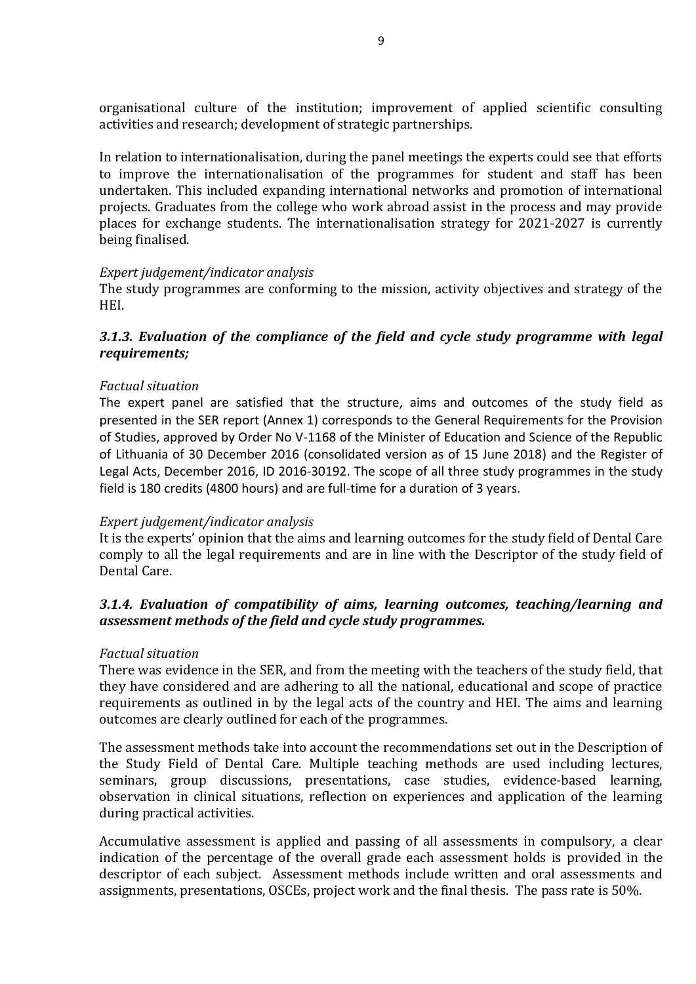organisational culture of the institution; improvement of applied scientific consulting activities and research; development of strategic partnerships.

In relation to internationalisation, during the panel meetings the experts could see that efforts to improve the internationalisation of the programmes for student and staff has been undertaken. This included expanding international networks and promotion of international projects. Graduates from the college who work abroad assist in the process and may provide places for exchange students. The internationalisation strategy for 2021-2027 is currently being finalised.

#### *Expert judgement/indicator analysis*

The study programmes are conforming to the mission, activity objectives and strategy of the HEI.

#### *3.1.3. Evaluation of the compliance of the field and cycle study programme with legal requirements;*

#### *Factual situation*

The expert panel are satisfied that the structure, aims and outcomes of the study field as presented in the SER report (Annex 1) corresponds to the General Requirements for the Provision of Studies, approved by Order No V-1168 of the Minister of Education and Science of the Republic of Lithuania of 30 December 2016 (consolidated version as of 15 June 2018) and the Register of Legal Acts, December 2016, ID 2016-30192. The scope of all three study programmes in the study field is 180 credits (4800 hours) and are full-time for a duration of 3 years.

#### *Expert judgement/indicator analysis*

It is the experts' opinion that the aims and learning outcomes for the study field of Dental Care comply to all the legal requirements and are in line with the Descriptor of the study field of Dental Care.

#### *3.1.4. Evaluation of compatibility of aims, learning outcomes, teaching/learning and assessment methods of the field and cycle study programmes.*

#### *Factual situation*

There was evidence in the SER, and from the meeting with the teachers of the study field, that they have considered and are adhering to all the national, educational and scope of practice requirements as outlined in by the legal acts of the country and HEI. The aims and learning outcomes are clearly outlined for each of the programmes.

The assessment methods take into account the recommendations set out in the Description of the Study Field of Dental Care. Multiple teaching methods are used including lectures, seminars, group discussions, presentations, case studies, evidence-based learning, observation in clinical situations, reflection on experiences and application of the learning during practical activities.

Accumulative assessment is applied and passing of all assessments in compulsory, a clear indication of the percentage of the overall grade each assessment holds is provided in the descriptor of each subject. Assessment methods include written and oral assessments and assignments, presentations, OSCEs, project work and the final thesis. The pass rate is 50%.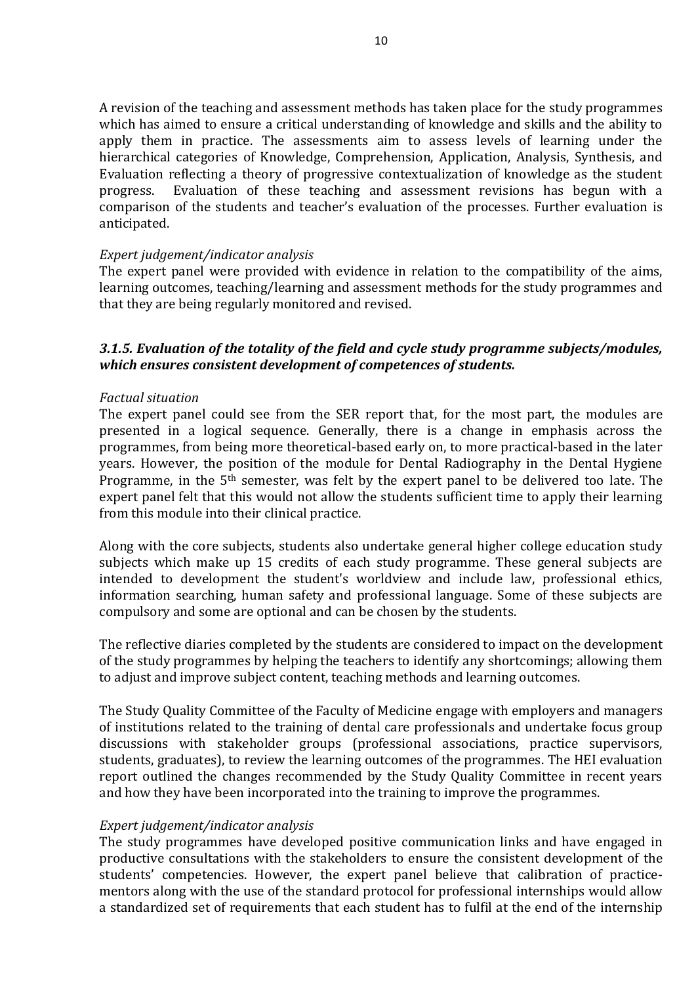A revision of the teaching and assessment methods has taken place for the study programmes which has aimed to ensure a critical understanding of knowledge and skills and the ability to apply them in practice. The assessments aim to assess levels of learning under the hierarchical categories of Knowledge, Comprehension, Application, Analysis, Synthesis, and Evaluation reflecting a theory of progressive contextualization of knowledge as the student progress. Evaluation of these teaching and assessment revisions has begun with a comparison of the students and teacher's evaluation of the processes. Further evaluation is anticipated.

#### *Expert judgement/indicator analysis*

The expert panel were provided with evidence in relation to the compatibility of the aims, learning outcomes, teaching/learning and assessment methods for the study programmes and that they are being regularly monitored and revised.

## *3.1.5. Evaluation of the totality of the field and cycle study programme subjects/modules, which ensures consistent development of competences of students.*

#### *Factual situation*

The expert panel could see from the SER report that, for the most part, the modules are presented in a logical sequence. Generally, there is a change in emphasis across the programmes, from being more theoretical-based early on, to more practical-based in the later years. However, the position of the module for Dental Radiography in the Dental Hygiene Programme, in the 5<sup>th</sup> semester, was felt by the expert panel to be delivered too late. The expert panel felt that this would not allow the students sufficient time to apply their learning from this module into their clinical practice.

Along with the core subjects, students also undertake general higher college education study subjects which make up 15 credits of each study programme. These general subjects are intended to development the student's worldview and include law, professional ethics, information searching, human safety and professional language. Some of these subjects are compulsory and some are optional and can be chosen by the students.

The reflective diaries completed by the students are considered to impact on the development of the study programmes by helping the teachers to identify any shortcomings; allowing them to adjust and improve subject content, teaching methods and learning outcomes.

The Study Quality Committee of the Faculty of Medicine engage with employers and managers of institutions related to the training of dental care professionals and undertake focus group discussions with stakeholder groups (professional associations, practice supervisors, students, graduates), to review the learning outcomes of the programmes. The HEI evaluation report outlined the changes recommended by the Study Quality Committee in recent years and how they have been incorporated into the training to improve the programmes.

#### *Expert judgement/indicator analysis*

The study programmes have developed positive communication links and have engaged in productive consultations with the stakeholders to ensure the consistent development of the students' competencies. However, the expert panel believe that calibration of practicementors along with the use of the standard protocol for professional internships would allow a standardized set of requirements that each student has to fulfil at the end of the internship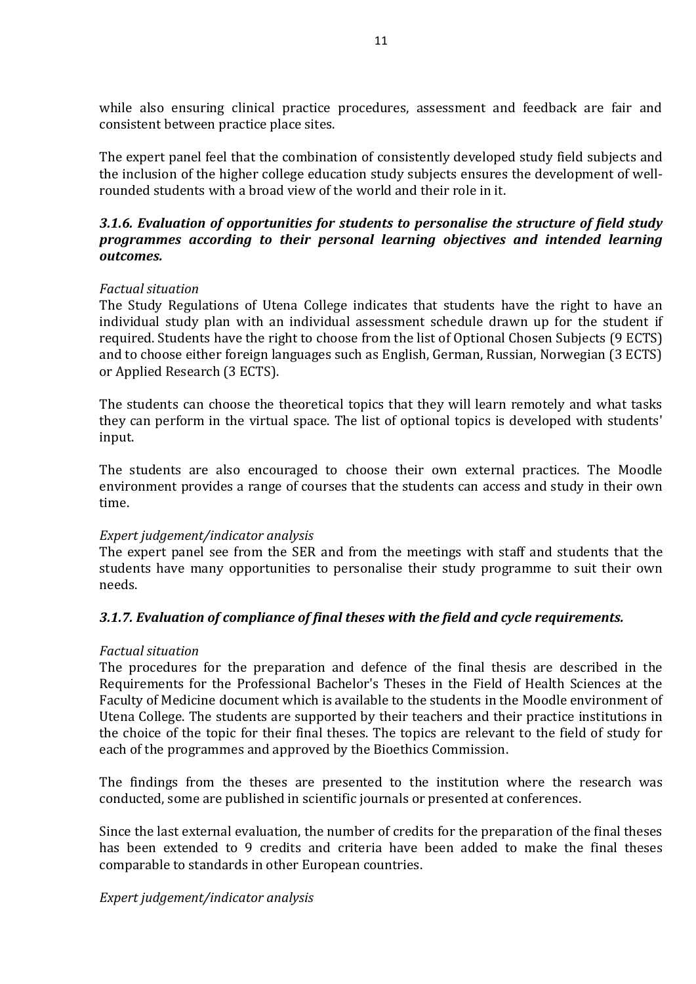while also ensuring clinical practice procedures, assessment and feedback are fair and consistent between practice place sites.

The expert panel feel that the combination of consistently developed study field subjects and the inclusion of the higher college education study subjects ensures the development of wellrounded students with a broad view of the world and their role in it.

## *3.1.6. Evaluation of opportunities for students to personalise the structure of field study programmes according to their personal learning objectives and intended learning outcomes.*

## *Factual situation*

The Study Regulations of Utena College indicates that students have the right to have an individual study plan with an individual assessment schedule drawn up for the student if required. Students have the right to choose from the list of Optional Chosen Subjects (9 ECTS) and to choose either foreign languages such as English, German, Russian, Norwegian (3 ECTS) or Applied Research (3 ECTS).

The students can choose the theoretical topics that they will learn remotely and what tasks they can perform in the virtual space. The list of optional topics is developed with students' input.

The students are also encouraged to choose their own external practices. The Moodle environment provides a range of courses that the students can access and study in their own time.

## *Expert judgement/indicator analysis*

The expert panel see from the SER and from the meetings with staff and students that the students have many opportunities to personalise their study programme to suit their own needs.

## *3.1.7. Evaluation of compliance of final theses with the field and cycle requirements.*

## *Factual situation*

The procedures for the preparation and defence of the final thesis are described in the Requirements for the Professional Bachelor's Theses in the Field of Health Sciences at the Faculty of Medicine document which is available to the students in the Moodle environment of Utena College. The students are supported by their teachers and their practice institutions in the choice of the topic for their final theses. The topics are relevant to the field of study for each of the programmes and approved by the Bioethics Commission.

The findings from the theses are presented to the institution where the research was conducted, some are published in scientific journals or presented at conferences.

Since the last external evaluation, the number of credits for the preparation of the final theses has been extended to 9 credits and criteria have been added to make the final theses comparable to standards in other European countries.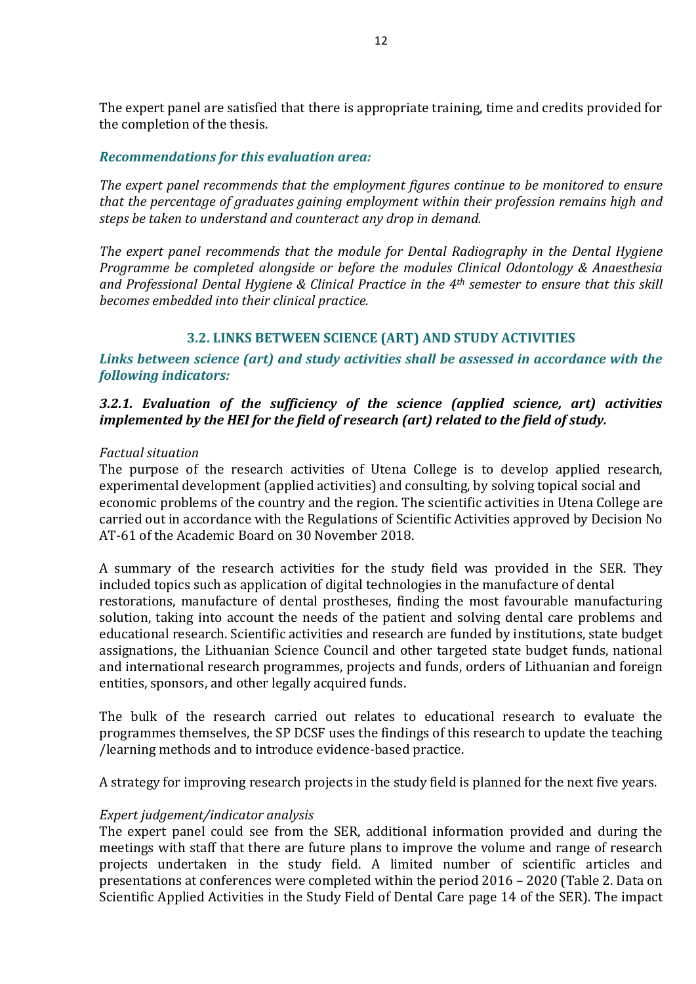The expert panel are satisfied that there is appropriate training, time and credits provided for the completion of the thesis.

#### *Recommendations for this evaluation area:*

*The expert panel recommends that the employment figures continue to be monitored to ensure that the percentage of graduates gaining employment within their profession remains high and steps be taken to understand and counteract any drop in demand.*

*The expert panel recommends that the module for Dental Radiography in the Dental Hygiene Programme be completed alongside or before the modules Clinical Odontology & Anaesthesia and Professional Dental Hygiene & Clinical Practice in the 4th semester to ensure that this skill becomes embedded into their clinical practice.*

## **3.2. LINKS BETWEEN SCIENCE (ART) AND STUDY ACTIVITIES**

## <span id="page-11-0"></span>*Links between science (art) and study activities shall be assessed in accordance with the following indicators:*

## *3.2.1. Evaluation of the sufficiency of the science (applied science, art) activities implemented by the HEI for the field of research (art) related to the field of study.*

#### *Factual situation*

The purpose of the research activities of Utena College is to develop applied research, experimental development (applied activities) and consulting, by solving topical social and economic problems of the country and the region. The scientific activities in Utena College are carried out in accordance with the Regulations of Scientific Activities approved by Decision No AT-61 of the Academic Board on 30 November 2018.

A summary of the research activities for the study field was provided in the SER. They included topics such as application of digital technologies in the manufacture of dental restorations, manufacture of dental prostheses, finding the most favourable manufacturing solution, taking into account the needs of the patient and solving dental care problems and educational research. Scientific activities and research are funded by institutions, state budget assignations, the Lithuanian Science Council and other targeted state budget funds, national and international research programmes, projects and funds, orders of Lithuanian and foreign entities, sponsors, and other legally acquired funds.

The bulk of the research carried out relates to educational research to evaluate the programmes themselves, the SP DCSF uses the findings of this research to update the teaching /learning methods and to introduce evidence-based practice.

A strategy for improving research projects in the study field is planned for the next five years.

#### *Expert judgement/indicator analysis*

The expert panel could see from the SER, additional information provided and during the meetings with staff that there are future plans to improve the volume and range of research projects undertaken in the study field. A limited number of scientific articles and presentations at conferences were completed within the period 2016 – 2020 (Table 2. Data on Scientific Applied Activities in the Study Field of Dental Care page 14 of the SER). The impact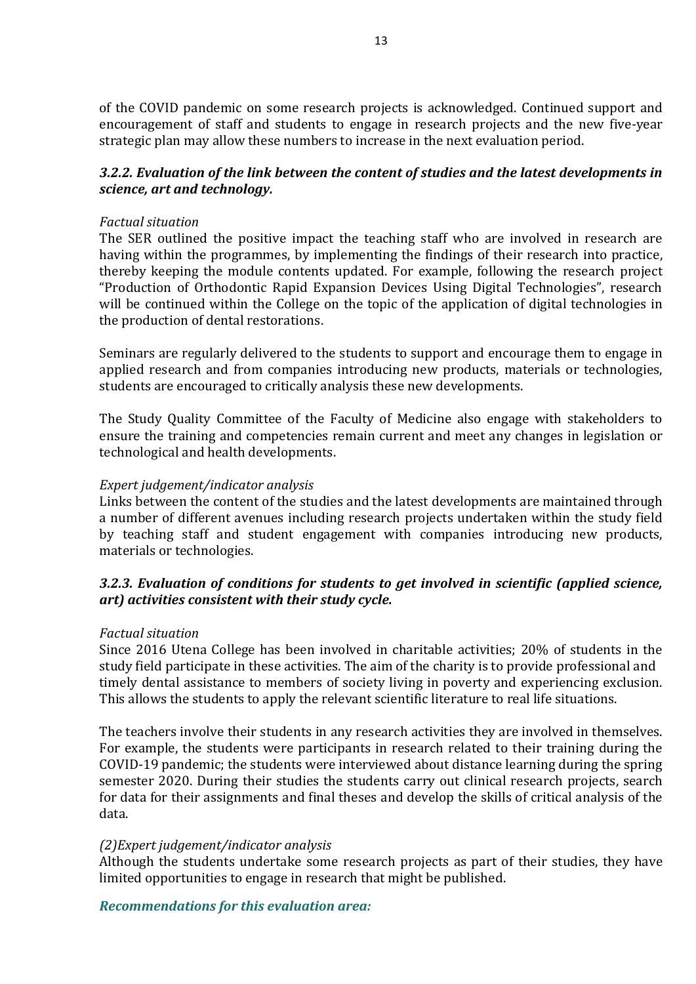of the COVID pandemic on some research projects is acknowledged. Continued support and encouragement of staff and students to engage in research projects and the new five-year strategic plan may allow these numbers to increase in the next evaluation period.

## *3.2.2. Evaluation of the link between the content of studies and the latest developments in science, art and technology.*

#### *Factual situation*

The SER outlined the positive impact the teaching staff who are involved in research are having within the programmes, by implementing the findings of their research into practice, thereby keeping the module contents updated. For example, following the research project "Production of Orthodontic Rapid Expansion Devices Using Digital Technologies", research will be continued within the College on the topic of the application of digital technologies in the production of dental restorations.

Seminars are regularly delivered to the students to support and encourage them to engage in applied research and from companies introducing new products, materials or technologies, students are encouraged to critically analysis these new developments.

The Study Quality Committee of the Faculty of Medicine also engage with stakeholders to ensure the training and competencies remain current and meet any changes in legislation or technological and health developments.

#### *Expert judgement/indicator analysis*

Links between the content of the studies and the latest developments are maintained through a number of different avenues including research projects undertaken within the study field by teaching staff and student engagement with companies introducing new products, materials or technologies.

## *3.2.3. Evaluation of conditions for students to get involved in scientific (applied science, art) activities consistent with their study cycle.*

#### *Factual situation*

Since 2016 Utena College has been involved in charitable activities; 20% of students in the study field participate in these activities. The aim of the charity is to provide professional and timely dental assistance to members of society living in poverty and experiencing exclusion. This allows the students to apply the relevant scientific literature to real life situations.

The teachers involve their students in any research activities they are involved in themselves. For example, the students were participants in research related to their training during the COVID-19 pandemic; the students were interviewed about distance learning during the spring semester 2020. During their studies the students carry out clinical research projects, search for data for their assignments and final theses and develop the skills of critical analysis of the data.

#### *(2)Expert judgement/indicator analysis*

Although the students undertake some research projects as part of their studies, they have limited opportunities to engage in research that might be published.

#### *Recommendations for this evaluation area:*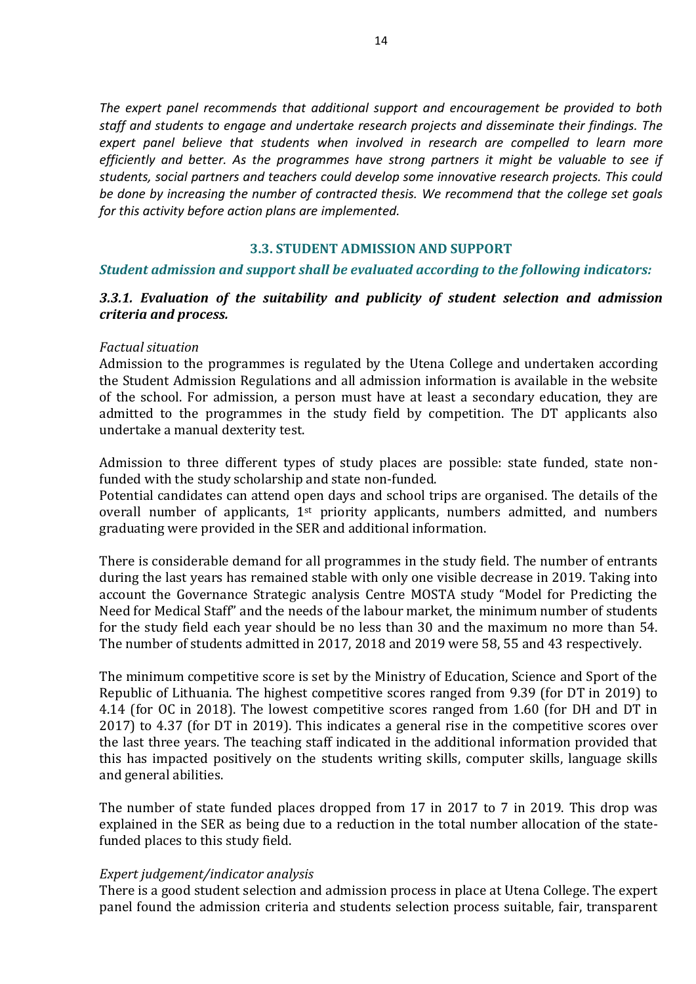*The expert panel recommends that additional support and encouragement be provided to both staff and students to engage and undertake research projects and disseminate their findings. The expert panel believe that students when involved in research are compelled to learn more efficiently and better. As the programmes have strong partners it might be valuable to see if students, social partners and teachers could develop some innovative research projects. This could be done by increasing the number of contracted thesis. We recommend that the college set goals for this activity before action plans are implemented.*

#### **3.3. STUDENT ADMISSION AND SUPPORT**

#### <span id="page-13-0"></span>*Student admission and support shall be evaluated according to the following indicators:*

#### *3.3.1. Evaluation of the suitability and publicity of student selection and admission criteria and process.*

#### *Factual situation*

Admission to the programmes is regulated by the Utena College and undertaken according the Student Admission Regulations and all admission information is available in the website of the school. For admission, a person must have at least a secondary education, they are admitted to the programmes in the study field by competition. The DT applicants also undertake a manual dexterity test.

Admission to three different types of study places are possible: state funded, state nonfunded with the study scholarship and state non-funded.

Potential candidates can attend open days and school trips are organised. The details of the overall number of applicants,  $1<sup>st</sup>$  priority applicants, numbers admitted, and numbers graduating were provided in the SER and additional information.

There is considerable demand for all programmes in the study field. The number of entrants during the last years has remained stable with only one visible decrease in 2019. Taking into account the Governance Strategic analysis Centre MOSTA study "Model for Predicting the Need for Medical Staff" and the needs of the labour market, the minimum number of students for the study field each year should be no less than 30 and the maximum no more than 54. The number of students admitted in 2017, 2018 and 2019 were 58, 55 and 43 respectively.

The minimum competitive score is set by the Ministry of Education, Science and Sport of the Republic of Lithuania. The highest competitive scores ranged from 9.39 (for DT in 2019) to 4.14 (for OC in 2018). The lowest competitive scores ranged from 1.60 (for DH and DT in 2017) to 4.37 (for DT in 2019). This indicates a general rise in the competitive scores over the last three years. The teaching staff indicated in the additional information provided that this has impacted positively on the students writing skills, computer skills, language skills and general abilities.

The number of state funded places dropped from 17 in 2017 to 7 in 2019. This drop was explained in the SER as being due to a reduction in the total number allocation of the statefunded places to this study field.

#### *Expert judgement/indicator analysis*

There is a good student selection and admission process in place at Utena College. The expert panel found the admission criteria and students selection process suitable, fair, transparent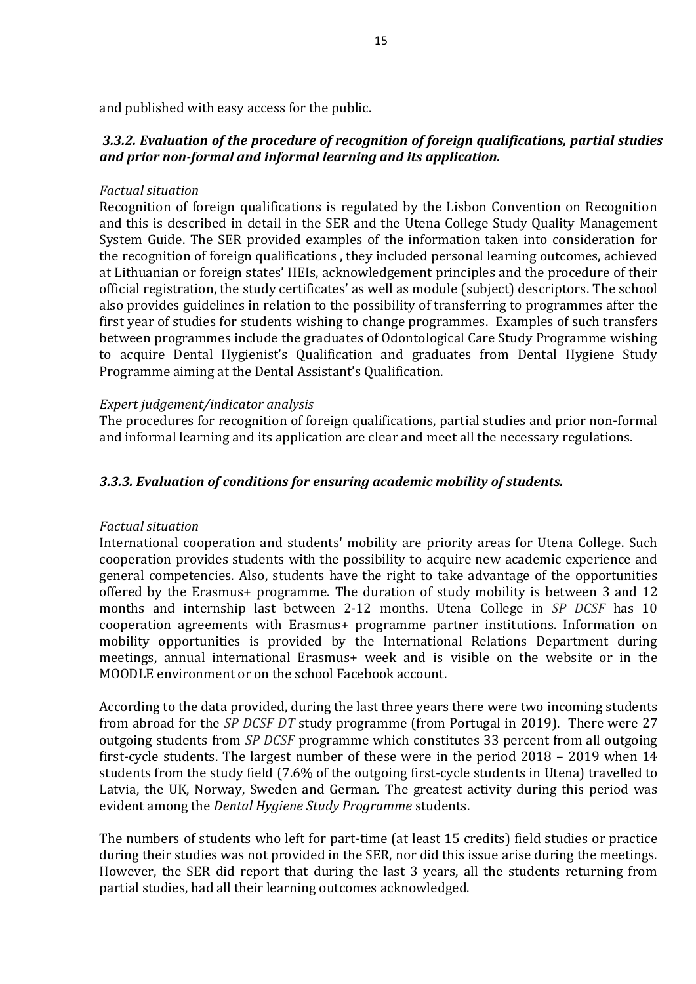and published with easy access for the public.

## *3.3.2. Evaluation of the procedure of recognition of foreign qualifications, partial studies and prior non-formal and informal learning and its application.*

#### *Factual situation*

Recognition of foreign qualifications is regulated by the Lisbon Convention on Recognition and this is described in detail in the SER and the Utena College Study Quality Management System Guide. The SER provided examples of the information taken into consideration for the recognition of foreign qualifications , they included personal learning outcomes, achieved at Lithuanian or foreign states' HEIs, acknowledgement principles and the procedure of their official registration, the study certificates' as well as module (subject) descriptors. The school also provides guidelines in relation to the possibility of transferring to programmes after the first year of studies for students wishing to change programmes. Examples of such transfers between programmes include the graduates of Odontological Care Study Programme wishing to acquire Dental Hygienist's Qualification and graduates from Dental Hygiene Study Programme aiming at the Dental Assistant's Qualification.

#### *Expert judgement/indicator analysis*

The procedures for recognition of foreign qualifications, partial studies and prior non-formal and informal learning and its application are clear and meet all the necessary regulations.

#### *3.3.3. Evaluation of conditions for ensuring academic mobility of students.*

#### *Factual situation*

International cooperation and students' mobility are priority areas for Utena College. Such cooperation provides students with the possibility to acquire new academic experience and general competencies. Also, students have the right to take advantage of the opportunities offered by the Erasmus+ programme. The duration of study mobility is between 3 and 12 months and internship last between 2-12 months. Utena College in *SP DCSF* has 10 cooperation agreements with Erasmus+ programme partner institutions. Information on mobility opportunities is provided by the International Relations Department during meetings, annual international Erasmus+ week and is visible on the website or in the MOODLE environment or on the school Facebook account.

According to the data provided, during the last three years there were two incoming students from abroad for the *SP DCSF DT* study programme (from Portugal in 2019). There were 27 outgoing students from *SP DCSF* programme which constitutes 33 percent from all outgoing first-cycle students. The largest number of these were in the period 2018 – 2019 when 14 students from the study field (7.6% of the outgoing first-cycle students in Utena) travelled to Latvia, the UK, Norway, Sweden and German. The greatest activity during this period was evident among the *Dental Hygiene Study Programme* students.

The numbers of students who left for part-time (at least 15 credits) field studies or practice during their studies was not provided in the SER, nor did this issue arise during the meetings. However, the SER did report that during the last 3 years, all the students returning from partial studies, had all their learning outcomes acknowledged.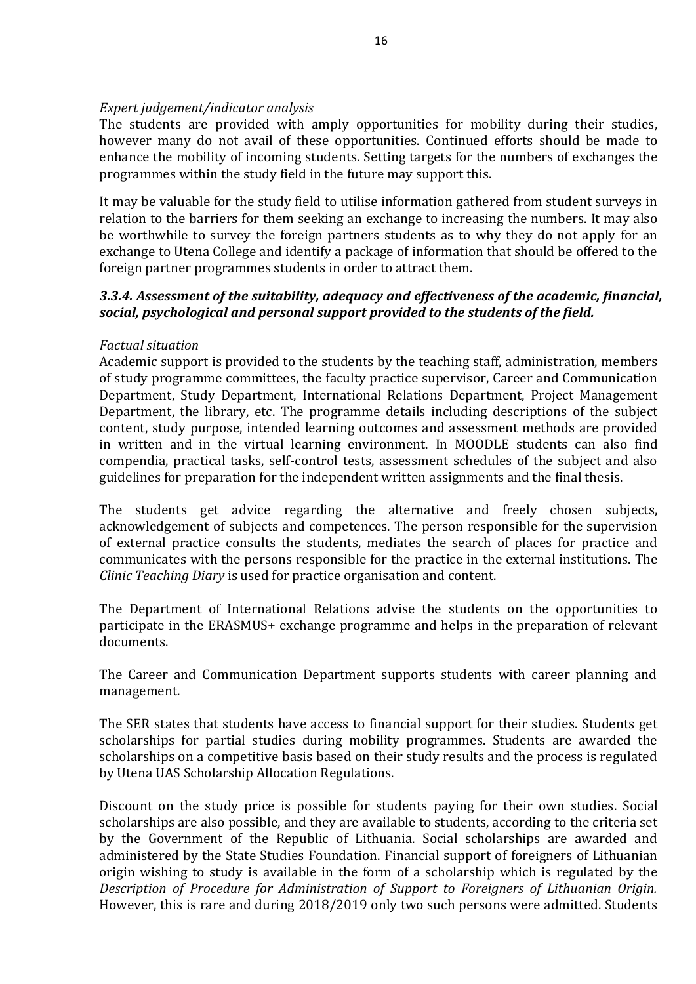### *Expert judgement/indicator analysis*

The students are provided with amply opportunities for mobility during their studies, however many do not avail of these opportunities. Continued efforts should be made to enhance the mobility of incoming students. Setting targets for the numbers of exchanges the programmes within the study field in the future may support this.

It may be valuable for the study field to utilise information gathered from student surveys in relation to the barriers for them seeking an exchange to increasing the numbers. It may also be worthwhile to survey the foreign partners students as to why they do not apply for an exchange to Utena College and identify a package of information that should be offered to the foreign partner programmes students in order to attract them.

## *3.3.4. Assessment of the suitability, adequacy and effectiveness of the academic, financial, social, psychological and personal support provided to the students of the field.*

## *Factual situation*

Academic support is provided to the students by the teaching staff, administration, members of study programme committees, the faculty practice supervisor, Career and Communication Department, Study Department, International Relations Department, Project Management Department, the library, etc. The programme details including descriptions of the subject content, study purpose, intended learning outcomes and assessment methods are provided in written and in the virtual learning environment. In MOODLE students can also find compendia, practical tasks, self-control tests, assessment schedules of the subject and also guidelines for preparation for the independent written assignments and the final thesis.

The students get advice regarding the alternative and freely chosen subjects, acknowledgement of subjects and competences. The person responsible for the supervision of external practice consults the students, mediates the search of places for practice and communicates with the persons responsible for the practice in the external institutions. The *Clinic Teaching Diary* is used for practice organisation and content.

The Department of International Relations advise the students on the opportunities to participate in the ERASMUS+ exchange programme and helps in the preparation of relevant documents.

The Career and Communication Department supports students with career planning and management.

The SER states that students have access to financial support for their studies. Students get scholarships for partial studies during mobility programmes. Students are awarded the scholarships on a competitive basis based on their study results and the process is regulated by Utena UAS Scholarship Allocation Regulations.

Discount on the study price is possible for students paying for their own studies. Social scholarships are also possible, and they are available to students, according to the criteria set by the Government of the Republic of Lithuania. Social scholarships are awarded and administered by the State Studies Foundation. Financial support of foreigners of Lithuanian origin wishing to study is available in the form of a scholarship which is regulated by the *Description of Procedure for Administration of Support to Foreigners of Lithuanian Origin.*  However, this is rare and during 2018/2019 only two such persons were admitted. Students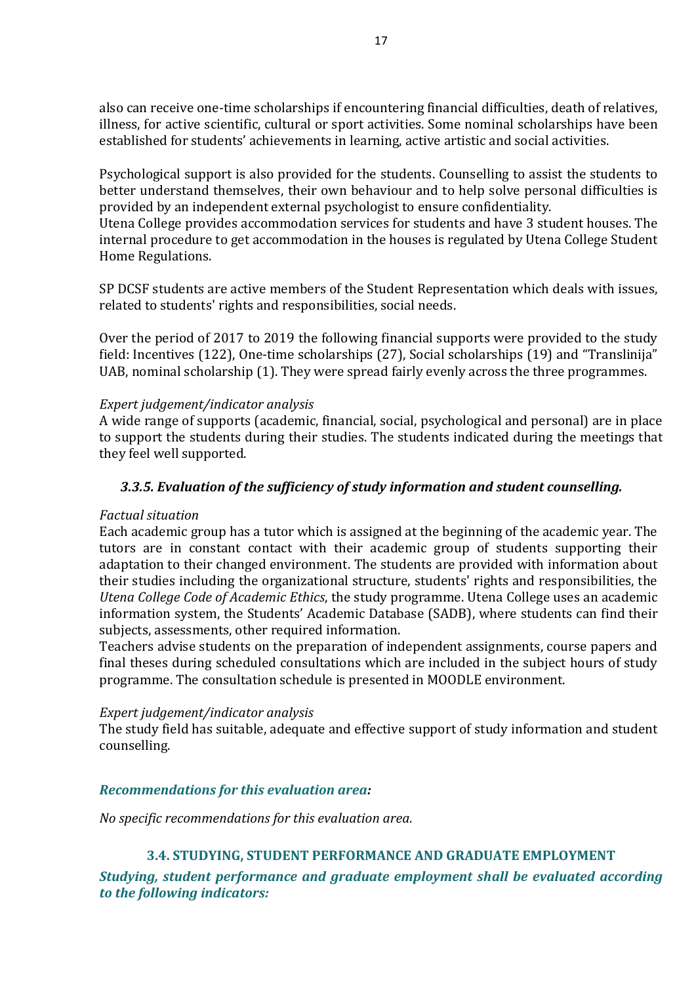also can receive one-time scholarships if encountering financial difficulties, death of relatives, illness, for active scientific, cultural or sport activities. Some nominal scholarships have been established for students' achievements in learning, active artistic and social activities.

Psychological support is also provided for the students. Counselling to assist the students to better understand themselves, their own behaviour and to help solve personal difficulties is provided by an independent external psychologist to ensure confidentiality.

Utena College provides accommodation services for students and have 3 student houses. The internal procedure to get accommodation in the houses is regulated by Utena College Student Home Regulations.

SP DCSF students are active members of the Student Representation which deals with issues, related to students' rights and responsibilities, social needs.

Over the period of 2017 to 2019 the following financial supports were provided to the study field: Incentives (122), One-time scholarships (27), Social scholarships (19) and "Translinija" UAB, nominal scholarship (1). They were spread fairly evenly across the three programmes.

#### *Expert judgement/indicator analysis*

A wide range of supports (academic, financial, social, psychological and personal) are in place to support the students during their studies. The students indicated during the meetings that they feel well supported.

### *3.3.5. Evaluation of the sufficiency of study information and student counselling.*

#### *Factual situation*

Each academic group has a tutor which is assigned at the beginning of the academic year. The tutors are in constant contact with their academic group of students supporting their adaptation to their changed environment. The students are provided with information about their studies including the organizational structure, students' rights and responsibilities, the *Utena College Code of Academic Ethics*, the study programme. Utena College uses an academic information system, the Students' Academic Database (SADB), where students can find their subjects, assessments, other required information.

Teachers advise students on the preparation of independent assignments, course papers and final theses during scheduled consultations which are included in the subject hours of study programme. The consultation schedule is presented in MOODLE environment.

#### *Expert judgement/indicator analysis*

The study field has suitable, adequate and effective support of study information and student counselling.

#### *Recommendations for this evaluation area:*

<span id="page-16-0"></span>*No specific recommendations for this evaluation area.*

## **3.4. STUDYING, STUDENT PERFORMANCE AND GRADUATE EMPLOYMENT**

*Studying, student performance and graduate employment shall be evaluated according to the following indicators:*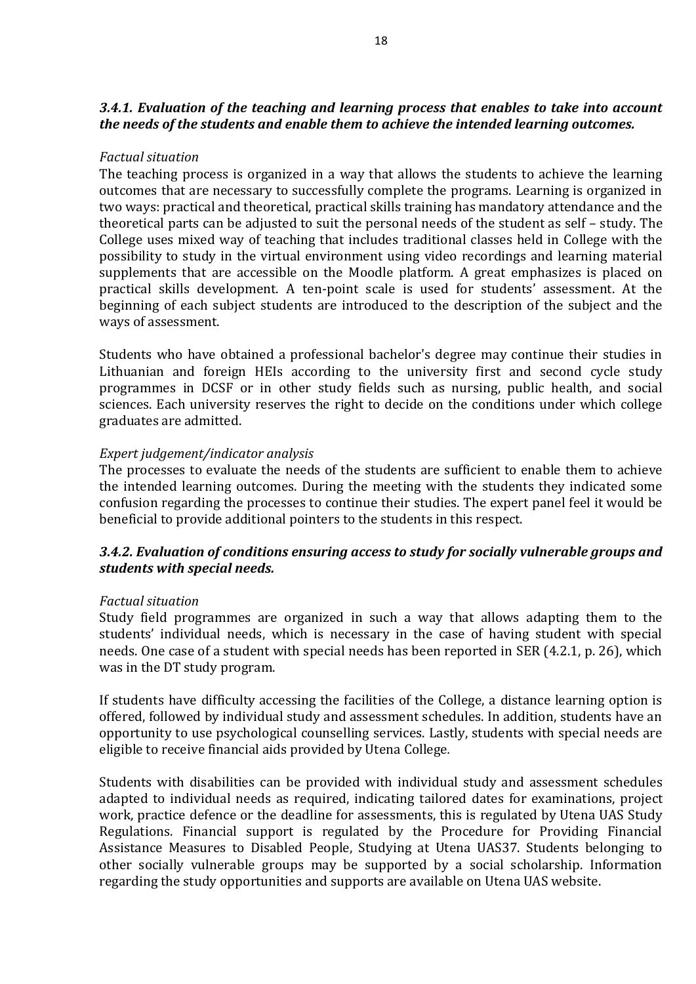## *3.4.1. Evaluation of the teaching and learning process that enables to take into account the needs of the students and enable them to achieve the intended learning outcomes.*

### *Factual situation*

The teaching process is organized in a way that allows the students to achieve the learning outcomes that are necessary to successfully complete the programs. Learning is organized in two ways: practical and theoretical, practical skills training has mandatory attendance and the theoretical parts can be adjusted to suit the personal needs of the student as self – study. The College uses mixed way of teaching that includes traditional classes held in College with the possibility to study in the virtual environment using video recordings and learning material supplements that are accessible on the Moodle platform. A great emphasizes is placed on practical skills development. A ten-point scale is used for students' assessment. At the beginning of each subject students are introduced to the description of the subject and the ways of assessment.

Students who have obtained a professional bachelor's degree may continue their studies in Lithuanian and foreign HEIs according to the university first and second cycle study programmes in DCSF or in other study fields such as nursing, public health, and social sciences. Each university reserves the right to decide on the conditions under which college graduates are admitted.

#### *Expert judgement/indicator analysis*

The processes to evaluate the needs of the students are sufficient to enable them to achieve the intended learning outcomes. During the meeting with the students they indicated some confusion regarding the processes to continue their studies. The expert panel feel it would be beneficial to provide additional pointers to the students in this respect.

## *3.4.2. Evaluation of conditions ensuring access to study for socially vulnerable groups and students with special needs.*

#### *Factual situation*

Study field programmes are organized in such a way that allows adapting them to the students' individual needs, which is necessary in the case of having student with special needs. One case of a student with special needs has been reported in SER (4.2.1, p. 26), which was in the DT study program.

If students have difficulty accessing the facilities of the College, a distance learning option is offered, followed by individual study and assessment schedules. In addition, students have an opportunity to use psychological counselling services. Lastly, students with special needs are eligible to receive financial aids provided by Utena College*.* 

Students with disabilities can be provided with individual study and assessment schedules adapted to individual needs as required, indicating tailored dates for examinations, project work, practice defence or the deadline for assessments, this is regulated by Utena UAS Study Regulations. Financial support is regulated by the Procedure for Providing Financial Assistance Measures to Disabled People, Studying at Utena UAS37. Students belonging to other socially vulnerable groups may be supported by a social scholarship. Information regarding the study opportunities and supports are available on Utena UAS website.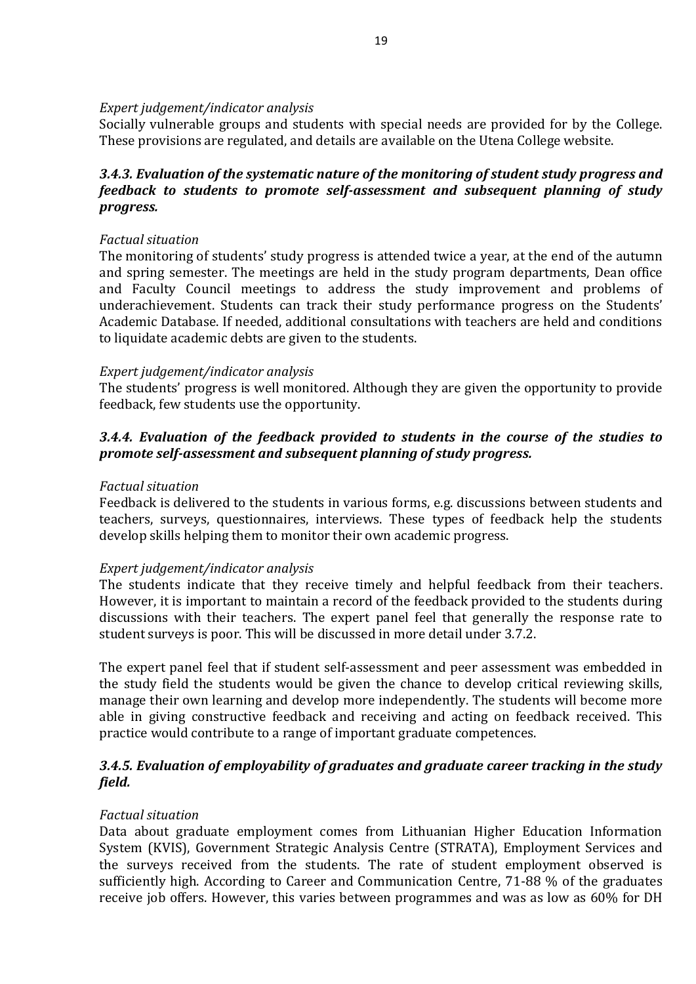#### *Expert judgement/indicator analysis*

Socially vulnerable groups and students with special needs are provided for by the College. These provisions are regulated, and details are available on the Utena College website.

## *3.4.3. Evaluation of the systematic nature of the monitoring of student study progress and feedback to students to promote self-assessment and subsequent planning of study progress.*

### *Factual situation*

The monitoring of students' study progress is attended twice a year, at the end of the autumn and spring semester. The meetings are held in the study program departments, Dean office and Faculty Council meetings to address the study improvement and problems of underachievement. Students can track their study performance progress on the Students' Academic Database. If needed, additional consultations with teachers are held and conditions to liquidate academic debts are given to the students.

#### *Expert judgement/indicator analysis*

The students' progress is well monitored. Although they are given the opportunity to provide feedback, few students use the opportunity.

## *3.4.4. Evaluation of the feedback provided to students in the course of the studies to promote self-assessment and subsequent planning of study progress.*

#### *Factual situation*

Feedback is delivered to the students in various forms, e.g. discussions between students and teachers, surveys, questionnaires, interviews. These types of feedback help the students develop skills helping them to monitor their own academic progress.

#### *Expert judgement/indicator analysis*

The students indicate that they receive timely and helpful feedback from their teachers. However, it is important to maintain a record of the feedback provided to the students during discussions with their teachers. The expert panel feel that generally the response rate to student surveys is poor. This will be discussed in more detail under 3.7.2.

The expert panel feel that if student self-assessment and peer assessment was embedded in the study field the students would be given the chance to develop critical reviewing skills, manage their own learning and develop more independently. The students will become more able in giving constructive feedback and receiving and acting on feedback received. This practice would contribute to a range of important graduate competences.

## *3.4.5. Evaluation of employability of graduates and graduate career tracking in the study field.*

## *Factual situation*

Data about graduate employment comes from Lithuanian Higher Education Information System (KVIS), Government Strategic Analysis Centre (STRATA), Employment Services and the surveys received from the students. The rate of student employment observed is sufficiently high. According to Career and Communication Centre, 71-88 % of the graduates receive job offers. However, this varies between programmes and was as low as 60% for DH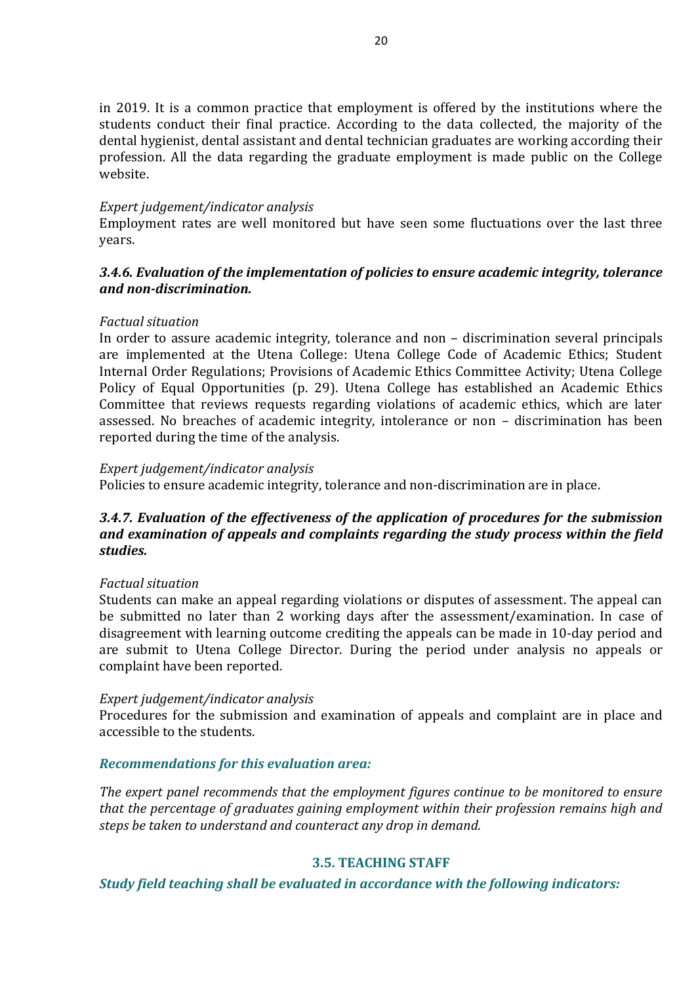in 2019. It is a common practice that employment is offered by the institutions where the students conduct their final practice. According to the data collected, the majority of the dental hygienist, dental assistant and dental technician graduates are working according their profession. All the data regarding the graduate employment is made public on the College website.

#### *Expert judgement/indicator analysis*

Employment rates are well monitored but have seen some fluctuations over the last three years.

## *3.4.6. Evaluation of the implementation of policies to ensure academic integrity, tolerance and non-discrimination.*

#### *Factual situation*

In order to assure academic integrity, tolerance and non – discrimination several principals are implemented at the Utena College: Utena College Code of Academic Ethics; Student Internal Order Regulations; Provisions of Academic Ethics Committee Activity; Utena College Policy of Equal Opportunities (p. 29). Utena College has established an Academic Ethics Committee that reviews requests regarding violations of academic ethics, which are later assessed. No breaches of academic integrity, intolerance or non – discrimination has been reported during the time of the analysis.

#### *Expert judgement/indicator analysis*

Policies to ensure academic integrity, tolerance and non-discrimination are in place.

## *3.4.7. Evaluation of the effectiveness of the application of procedures for the submission and examination of appeals and complaints regarding the study process within the field studies.*

#### *Factual situation*

Students can make an appeal regarding violations or disputes of assessment. The appeal can be submitted no later than 2 working days after the assessment/examination. In case of disagreement with learning outcome crediting the appeals can be made in 10-day period and are submit to Utena College Director. During the period under analysis no appeals or complaint have been reported.

#### *Expert judgement/indicator analysis*

Procedures for the submission and examination of appeals and complaint are in place and accessible to the students.

#### *Recommendations for this evaluation area:*

*The expert panel recommends that the employment figures continue to be monitored to ensure that the percentage of graduates gaining employment within their profession remains high and steps be taken to understand and counteract any drop in demand.*

## **3.5. TEACHING STAFF**

<span id="page-19-0"></span>*Study field teaching shall be evaluated in accordance with the following indicators:*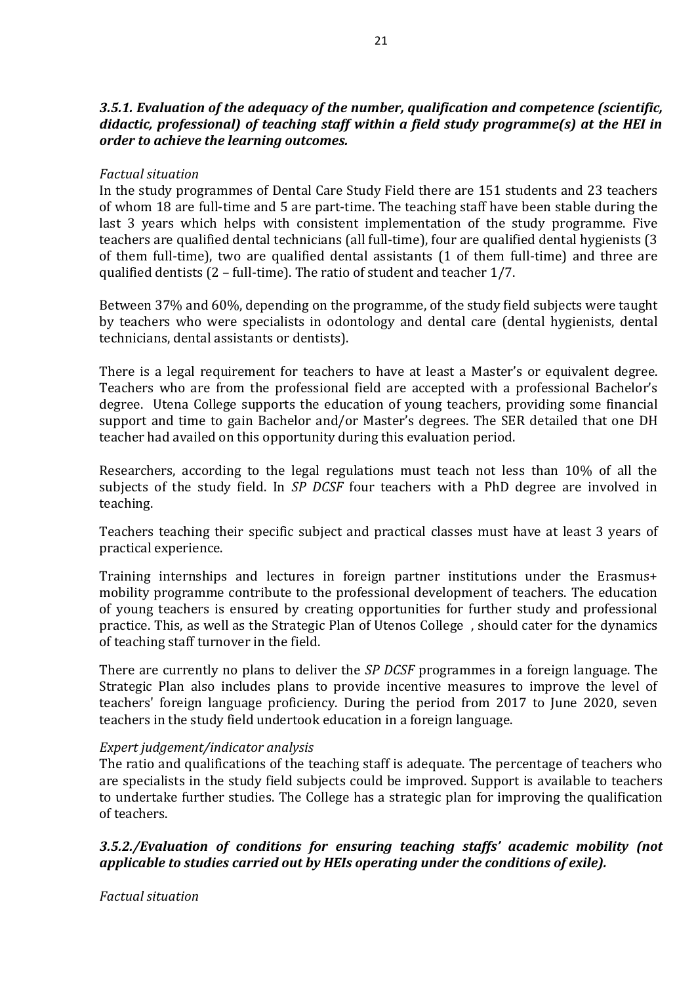## *3.5.1. Evaluation of the adequacy of the number, qualification and competence (scientific, didactic, professional) of teaching staff within a field study programme(s) at the HEI in order to achieve the learning outcomes.*

#### *Factual situation*

In the study programmes of Dental Care Study Field there are 151 students and 23 teachers of whom 18 are full-time and 5 are part-time. The teaching staff have been stable during the last 3 years which helps with consistent implementation of the study programme. Five teachers are qualified dental technicians (all full-time), four are qualified dental hygienists (3 of them full-time), two are qualified dental assistants (1 of them full-time) and three are qualified dentists (2 – full-time). The ratio of student and teacher 1/7.

Between 37% and 60%, depending on the programme, of the study field subjects were taught by teachers who were specialists in odontology and dental care (dental hygienists, dental technicians, dental assistants or dentists).

There is a legal requirement for teachers to have at least a Master's or equivalent degree. Teachers who are from the professional field are accepted with a professional Bachelor's degree. Utena College supports the education of young teachers, providing some financial support and time to gain Bachelor and/or Master's degrees. The SER detailed that one DH teacher had availed on this opportunity during this evaluation period.

Researchers, according to the legal regulations must teach not less than 10% of all the subjects of the study field. In *SP DCSF* four teachers with a PhD degree are involved in teaching.

Teachers teaching their specific subject and practical classes must have at least 3 years of practical experience.

Training internships and lectures in foreign partner institutions under the Erasmus+ mobility programme contribute to the professional development of teachers. The education of young teachers is ensured by creating opportunities for further study and professional practice. This, as well as the Strategic Plan of Utenos College , should cater for the dynamics of teaching staff turnover in the field.

There are currently no plans to deliver the *SP DCSF* programmes in a foreign language. The Strategic Plan also includes plans to provide incentive measures to improve the level of teachers' foreign language proficiency. During the period from 2017 to June 2020, seven teachers in the study field undertook education in a foreign language.

#### *Expert judgement/indicator analysis*

The ratio and qualifications of the teaching staff is adequate. The percentage of teachers who are specialists in the study field subjects could be improved. Support is available to teachers to undertake further studies. The College has a strategic plan for improving the qualification of teachers.

## *3.5.2./Evaluation of conditions for ensuring teaching staffs' academic mobility (not applicable to studies carried out by HEIs operating under the conditions of exile).*

## *Factual situation*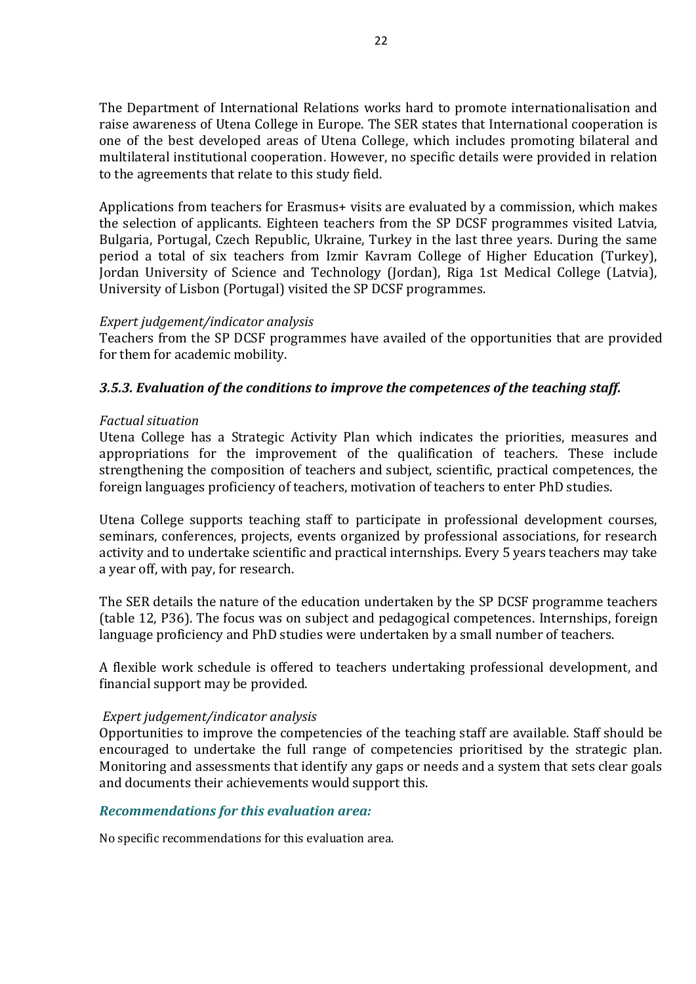The Department of International Relations works hard to promote internationalisation and raise awareness of Utena College in Europe. The SER states that International cooperation is one of the best developed areas of Utena College, which includes promoting bilateral and multilateral institutional cooperation. However, no specific details were provided in relation to the agreements that relate to this study field.

Applications from teachers for Erasmus+ visits are evaluated by a commission, which makes the selection of applicants. Eighteen teachers from the SP DCSF programmes visited Latvia, Bulgaria, Portugal, Czech Republic, Ukraine, Turkey in the last three years. During the same period a total of six teachers from Izmir Kavram College of Higher Education (Turkey), Jordan University of Science and Technology (Jordan), Riga 1st Medical College (Latvia), University of Lisbon (Portugal) visited the SP DCSF programmes.

#### *Expert judgement/indicator analysis*

Teachers from the SP DCSF programmes have availed of the opportunities that are provided for them for academic mobility.

## *3.5.3. Evaluation of the conditions to improve the competences of the teaching staff.*

#### *Factual situation*

Utena College has a Strategic Activity Plan which indicates the priorities, measures and appropriations for the improvement of the qualification of teachers. These include strengthening the composition of teachers and subject, scientific, practical competences, the foreign languages proficiency of teachers, motivation of teachers to enter PhD studies.

Utena College supports teaching staff to participate in professional development courses, seminars, conferences, projects, events organized by professional associations, for research activity and to undertake scientific and practical internships. Every 5 years teachers may take a year off, with pay, for research.

The SER details the nature of the education undertaken by the SP DCSF programme teachers (table 12, P36). The focus was on subject and pedagogical competences. Internships, foreign language proficiency and PhD studies were undertaken by a small number of teachers.

A flexible work schedule is offered to teachers undertaking professional development, and financial support may be provided.

#### *Expert judgement/indicator analysis*

Opportunities to improve the competencies of the teaching staff are available. Staff should be encouraged to undertake the full range of competencies prioritised by the strategic plan. Monitoring and assessments that identify any gaps or needs and a system that sets clear goals and documents their achievements would support this.

#### *Recommendations for this evaluation area:*

No specific recommendations for this evaluation area.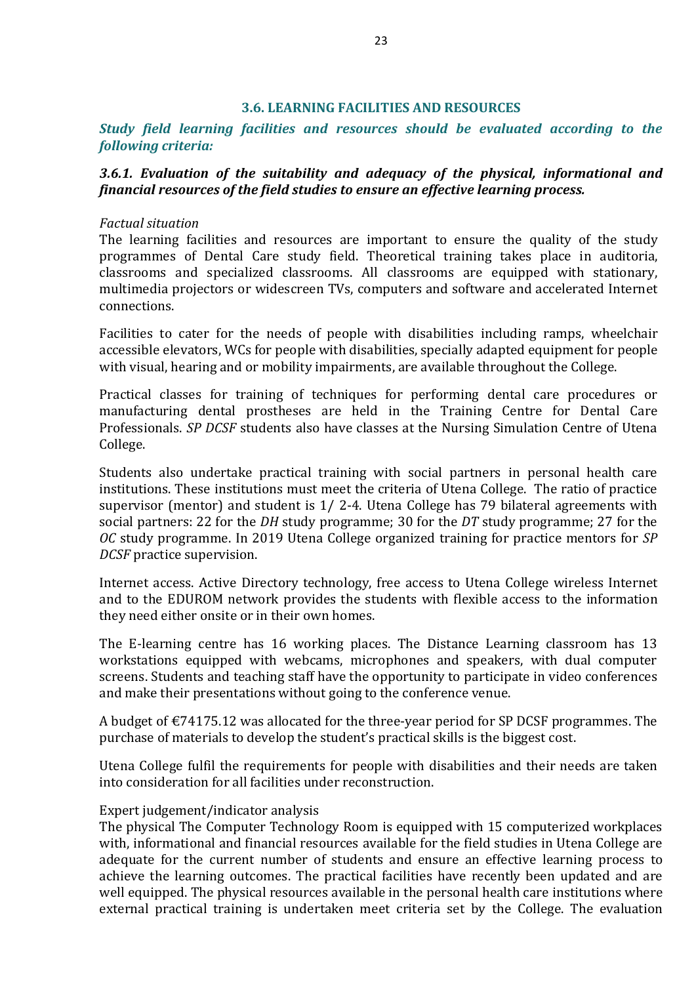#### **3.6. LEARNING FACILITIES AND RESOURCES**

<span id="page-22-0"></span>*Study field learning facilities and resources should be evaluated according to the following criteria:*

### *3.6.1. Evaluation of the suitability and adequacy of the physical, informational and financial resources of the field studies to ensure an effective learning process.*

#### *Factual situation*

The learning facilities and resources are important to ensure the quality of the study programmes of Dental Care study field. Theoretical training takes place in auditoria, classrooms and specialized classrooms. All classrooms are equipped with stationary, multimedia projectors or widescreen TVs, computers and software and accelerated Internet connections.

Facilities to cater for the needs of people with disabilities including ramps, wheelchair accessible elevators, WCs for people with disabilities, specially adapted equipment for people with visual, hearing and or mobility impairments, are available throughout the College.

Practical classes for training of techniques for performing dental care procedures or manufacturing dental prostheses are held in the Training Centre for Dental Care Professionals. *SP DCSF* students also have classes at the Nursing Simulation Centre of Utena College.

Students also undertake practical training with social partners in personal health care institutions. These institutions must meet the criteria of Utena College. The ratio of practice supervisor (mentor) and student is 1/ 2-4. Utena College has 79 bilateral agreements with social partners: 22 for the *DH* study programme; 30 for the *DT* study programme; 27 for the *OC* study programme. In 2019 Utena College organized training for practice mentors for *SP DCSF* practice supervision.

Internet access. Active Directory technology, free access to Utena College wireless Internet and to the EDUROM network provides the students with flexible access to the information they need either onsite or in their own homes.

The E-learning centre has 16 working places. The Distance Learning classroom has 13 workstations equipped with webcams, microphones and speakers, with dual computer screens. Students and teaching staff have the opportunity to participate in video conferences and make their presentations without going to the conference venue.

A budget of €74175.12 was allocated for the three-year period for SP DCSF programmes. The purchase of materials to develop the student's practical skills is the biggest cost.

Utena College fulfil the requirements for people with disabilities and their needs are taken into consideration for all facilities under reconstruction.

#### Expert judgement/indicator analysis

The physical The Computer Technology Room is equipped with 15 computerized workplaces with, informational and financial resources available for the field studies in Utena College are adequate for the current number of students and ensure an effective learning process to achieve the learning outcomes. The practical facilities have recently been updated and are well equipped. The physical resources available in the personal health care institutions where external practical training is undertaken meet criteria set by the College. The evaluation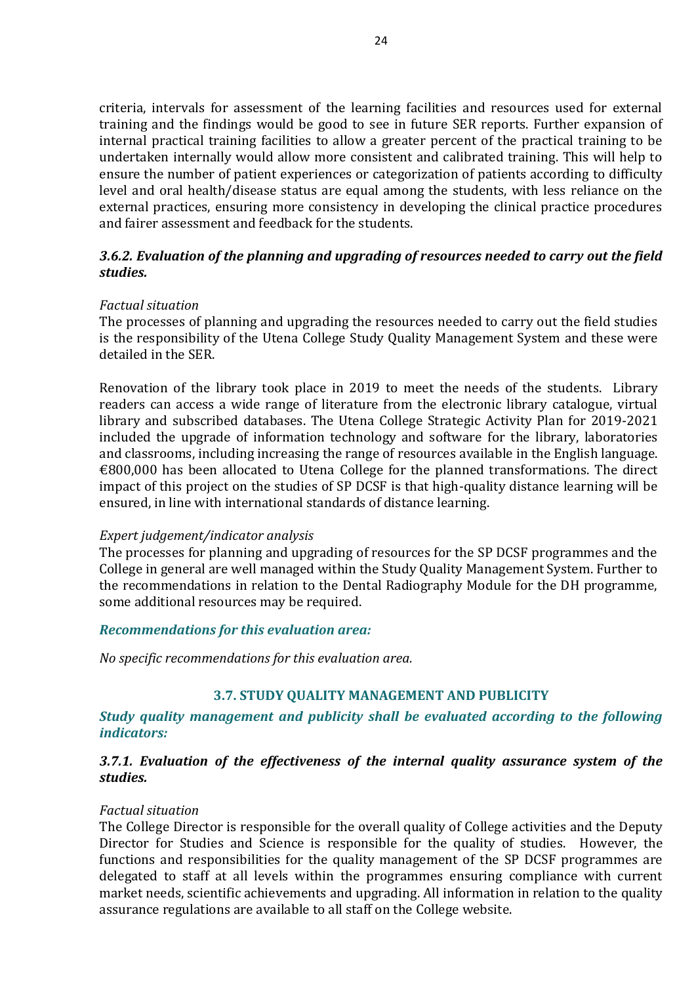criteria, intervals for assessment of the learning facilities and resources used for external training and the findings would be good to see in future SER reports. Further expansion of internal practical training facilities to allow a greater percent of the practical training to be undertaken internally would allow more consistent and calibrated training. This will help to ensure the number of patient experiences or categorization of patients according to difficulty level and oral health/disease status are equal among the students, with less reliance on the external practices, ensuring more consistency in developing the clinical practice procedures and fairer assessment and feedback for the students.

#### *3.6.2. Evaluation of the planning and upgrading of resources needed to carry out the field studies.*

#### *Factual situation*

The processes of planning and upgrading the resources needed to carry out the field studies is the responsibility of the Utena College Study Quality Management System and these were detailed in the SER.

Renovation of the library took place in 2019 to meet the needs of the students. Library readers can access a wide range of literature from the electronic library catalogue, virtual library and subscribed databases. The Utena College Strategic Activity Plan for 2019-2021 included the upgrade of information technology and software for the library, laboratories and classrooms, including increasing the range of resources available in the English language.  $€800,000$  has been allocated to Utena College for the planned transformations. The direct impact of this project on the studies of SP DCSF is that high-quality distance learning will be ensured, in line with international standards of distance learning.

#### *Expert judgement/indicator analysis*

The processes for planning and upgrading of resources for the SP DCSF programmes and the College in general are well managed within the Study Quality Management System. Further to the recommendations in relation to the Dental Radiography Module for the DH programme, some additional resources may be required.

#### *Recommendations for this evaluation area:*

<span id="page-23-0"></span>*No specific recommendations for this evaluation area.*

#### **3.7. STUDY QUALITY MANAGEMENT AND PUBLICITY**

*Study quality management and publicity shall be evaluated according to the following indicators:*

## *3.7.1. Evaluation of the effectiveness of the internal quality assurance system of the studies.*

#### *Factual situation*

The College Director is responsible for the overall quality of College activities and the Deputy Director for Studies and Science is responsible for the quality of studies. However, the functions and responsibilities for the quality management of the SP DCSF programmes are delegated to staff at all levels within the programmes ensuring compliance with current market needs, scientific achievements and upgrading. All information in relation to the quality assurance regulations are available to all staff on the College website.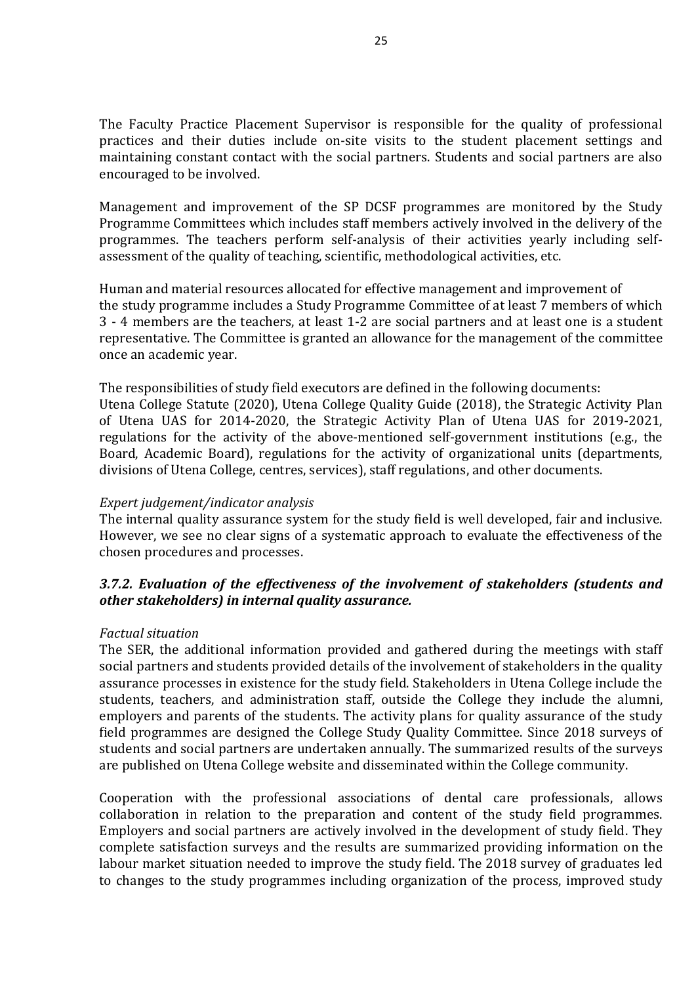The Faculty Practice Placement Supervisor is responsible for the quality of professional practices and their duties include on-site visits to the student placement settings and maintaining constant contact with the social partners. Students and social partners are also encouraged to be involved.

Management and improvement of the SP DCSF programmes are monitored by the Study Programme Committees which includes staff members actively involved in the delivery of the programmes. The teachers perform self-analysis of their activities yearly including selfassessment of the quality of teaching, scientific, methodological activities, etc.

Human and material resources allocated for effective management and improvement of the study programme includes a Study Programme Committee of at least 7 members of which 3 - 4 members are the teachers, at least 1-2 are social partners and at least one is a student representative. The Committee is granted an allowance for the management of the committee once an academic year.

The responsibilities of study field executors are defined in the following documents: Utena College Statute (2020), Utena College Quality Guide (2018), the Strategic Activity Plan of Utena UAS for 2014-2020, the Strategic Activity Plan of Utena UAS for 2019-2021, regulations for the activity of the above-mentioned self-government institutions (e.g., the Board, Academic Board), regulations for the activity of organizational units (departments, divisions of Utena College, centres, services), staff regulations, and other documents.

#### *Expert judgement/indicator analysis*

The internal quality assurance system for the study field is well developed, fair and inclusive. However, we see no clear signs of a systematic approach to evaluate the effectiveness of the chosen procedures and processes.

## *3.7.2. Evaluation of the effectiveness of the involvement of stakeholders (students and other stakeholders) in internal quality assurance.*

#### *Factual situation*

The SER, the additional information provided and gathered during the meetings with staff social partners and students provided details of the involvement of stakeholders in the quality assurance processes in existence for the study field. Stakeholders in Utena College include the students, teachers, and administration staff, outside the College they include the alumni, employers and parents of the students. The activity plans for quality assurance of the study field programmes are designed the College Study Quality Committee. Since 2018 surveys of students and social partners are undertaken annually. The summarized results of the surveys are published on Utena College website and disseminated within the College community.

Cooperation with the professional associations of dental care professionals, allows collaboration in relation to the preparation and content of the study field programmes. Employers and social partners are actively involved in the development of study field. They complete satisfaction surveys and the results are summarized providing information on the labour market situation needed to improve the study field. The 2018 survey of graduates led to changes to the study programmes including organization of the process, improved study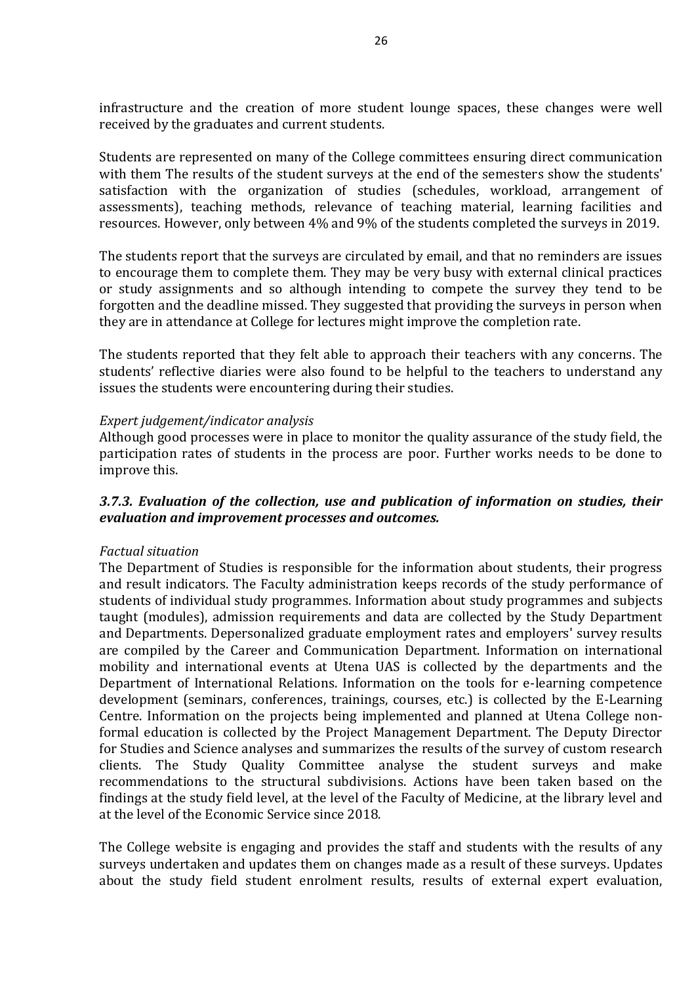infrastructure and the creation of more student lounge spaces, these changes were well received by the graduates and current students.

Students are represented on many of the College committees ensuring direct communication with them The results of the student surveys at the end of the semesters show the students' satisfaction with the organization of studies (schedules, workload, arrangement of assessments), teaching methods, relevance of teaching material, learning facilities and resources. However, only between 4% and 9% of the students completed the surveys in 2019.

The students report that the surveys are circulated by email, and that no reminders are issues to encourage them to complete them. They may be very busy with external clinical practices or study assignments and so although intending to compete the survey they tend to be forgotten and the deadline missed. They suggested that providing the surveys in person when they are in attendance at College for lectures might improve the completion rate.

The students reported that they felt able to approach their teachers with any concerns. The students' reflective diaries were also found to be helpful to the teachers to understand any issues the students were encountering during their studies.

#### *Expert judgement/indicator analysis*

Although good processes were in place to monitor the quality assurance of the study field, the participation rates of students in the process are poor. Further works needs to be done to improve this.

#### *3.7.3. Evaluation of the collection, use and publication of information on studies, their evaluation and improvement processes and outcomes.*

#### *Factual situation*

The Department of Studies is responsible for the information about students, their progress and result indicators. The Faculty administration keeps records of the study performance of students of individual study programmes. Information about study programmes and subjects taught (modules), admission requirements and data are collected by the Study Department and Departments. Depersonalized graduate employment rates and employers' survey results are compiled by the Career and Communication Department. Information on international mobility and international events at Utena UAS is collected by the departments and the Department of International Relations. Information on the tools for e-learning competence development (seminars, conferences, trainings, courses, etc.) is collected by the E-Learning Centre. Information on the projects being implemented and planned at Utena College nonformal education is collected by the Project Management Department. The Deputy Director for Studies and Science analyses and summarizes the results of the survey of custom research clients. The Study Quality Committee analyse the student surveys and make recommendations to the structural subdivisions. Actions have been taken based on the findings at the study field level, at the level of the Faculty of Medicine, at the library level and at the level of the Economic Service since 2018.

The College website is engaging and provides the staff and students with the results of any surveys undertaken and updates them on changes made as a result of these surveys. Updates about the study field student enrolment results, results of external expert evaluation,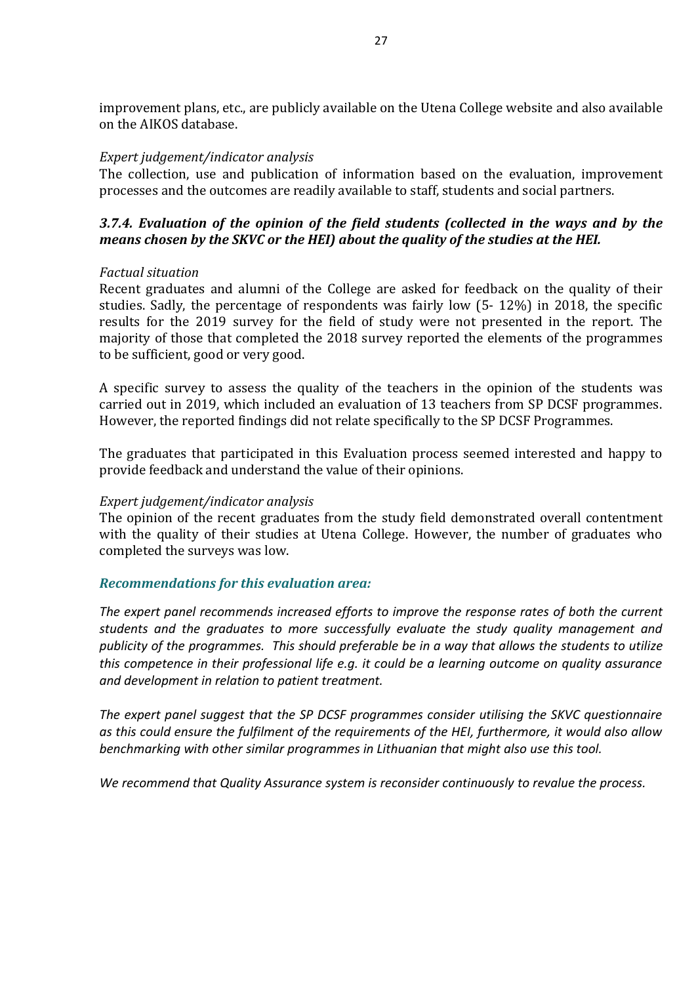improvement plans, etc., are publicly available on the Utena College website and also available on the AIKOS database.

#### *Expert judgement/indicator analysis*

The collection, use and publication of information based on the evaluation, improvement processes and the outcomes are readily available to staff, students and social partners.

## *3.7.4. Evaluation of the opinion of the field students (collected in the ways and by the means chosen by the SKVC or the HEI) about the quality of the studies at the HEI.*

#### *Factual situation*

Recent graduates and alumni of the College are asked for feedback on the quality of their studies. Sadly, the percentage of respondents was fairly low (5- 12%) in 2018, the specific results for the 2019 survey for the field of study were not presented in the report. The majority of those that completed the 2018 survey reported the elements of the programmes to be sufficient, good or very good.

A specific survey to assess the quality of the teachers in the opinion of the students was carried out in 2019, which included an evaluation of 13 teachers from SP DCSF programmes. However, the reported findings did not relate specifically to the SP DCSF Programmes.

The graduates that participated in this Evaluation process seemed interested and happy to provide feedback and understand the value of their opinions.

#### *Expert judgement/indicator analysis*

The opinion of the recent graduates from the study field demonstrated overall contentment with the quality of their studies at Utena College. However, the number of graduates who completed the surveys was low.

#### *Recommendations for this evaluation area:*

*The expert panel recommends increased efforts to improve the response rates of both the current students and the graduates to more successfully evaluate the study quality management and publicity of the programmes. This should preferable be in a way that allows the students to utilize this competence in their professional life e.g. it could be a learning outcome on quality assurance and development in relation to patient treatment.*

*The expert panel suggest that the SP DCSF programmes consider utilising the SKVC questionnaire as this could ensure the fulfilment of the requirements of the HEI, furthermore, it would also allow benchmarking with other similar programmes in Lithuanian that might also use this tool.*

*We recommend that Quality Assurance system is reconsider continuously to revalue the process.*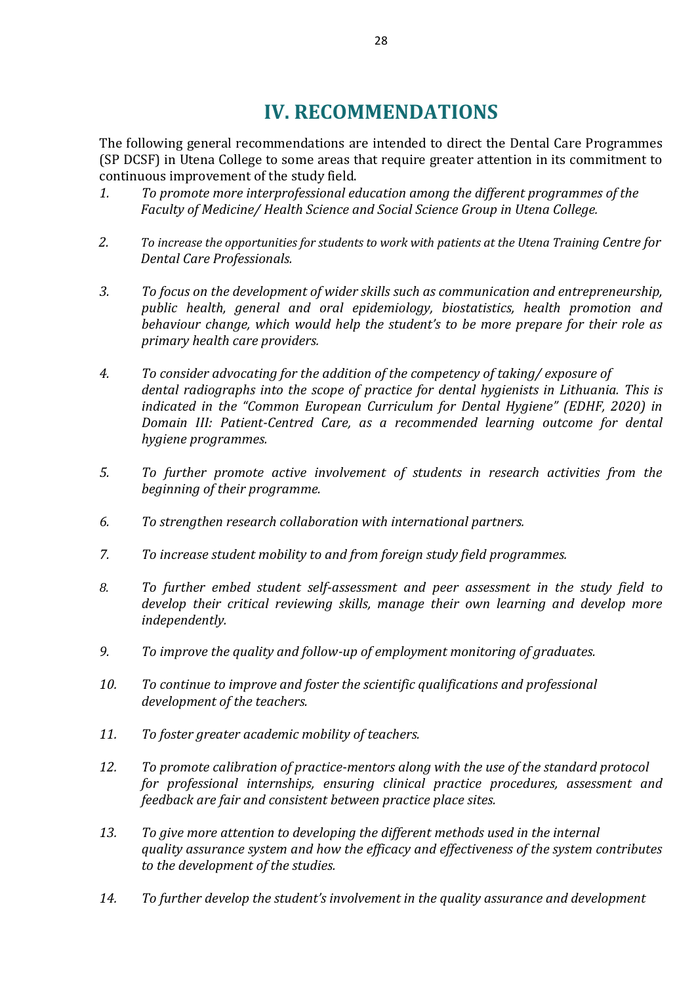## **IV. RECOMMENDATIONS**

<span id="page-27-0"></span>The following general recommendations are intended to direct the Dental Care Programmes (SP DCSF) in Utena College to some areas that require greater attention in its commitment to continuous improvement of the study field.

- *1. To promote more interprofessional education among the different programmes of the Faculty of Medicine/ Health Science and Social Science Group in Utena College.*
- 2. To increase the opportunities for students to work with patients at the Utena Training Centre for *Dental Care Professionals.*
- *3. To focus on the development of wider skills such as communication and entrepreneurship, public health, general and oral epidemiology, biostatistics, health promotion and behaviour change, which would help the student's to be more prepare for their role as primary health care providers.*
- *4. To consider advocating for the addition of the competency of taking/ exposure of dental radiographs into the scope of practice for dental hygienists in Lithuania. This is indicated in the "Common European Curriculum for Dental Hygiene" (EDHF, 2020) in Domain III: Patient-Centred Care, as a recommended learning outcome for dental hygiene programmes.*
- *5. To further promote active involvement of students in research activities from the beginning of their programme.*
- *6. To strengthen research collaboration with international partners.*
- *7. To increase student mobility to and from foreign study field programmes.*
- *8. To further embed student self-assessment and peer assessment in the study field to develop their critical reviewing skills, manage their own learning and develop more independently.*
- *9. To improve the quality and follow-up of employment monitoring of graduates.*
- *10. To continue to improve and foster the scientific qualifications and professional development of the teachers.*
- *11. To foster greater academic mobility of teachers.*
- *12. To promote calibration of practice-mentors along with the use of the standard protocol for professional internships, ensuring clinical practice procedures, assessment and feedback are fair and consistent between practice place sites.*
- *13. To give more attention to developing the different methods used in the internal quality assurance system and how the efficacy and effectiveness of the system contributes to the development of the studies.*
- *14. To further develop the student's involvement in the quality assurance and development*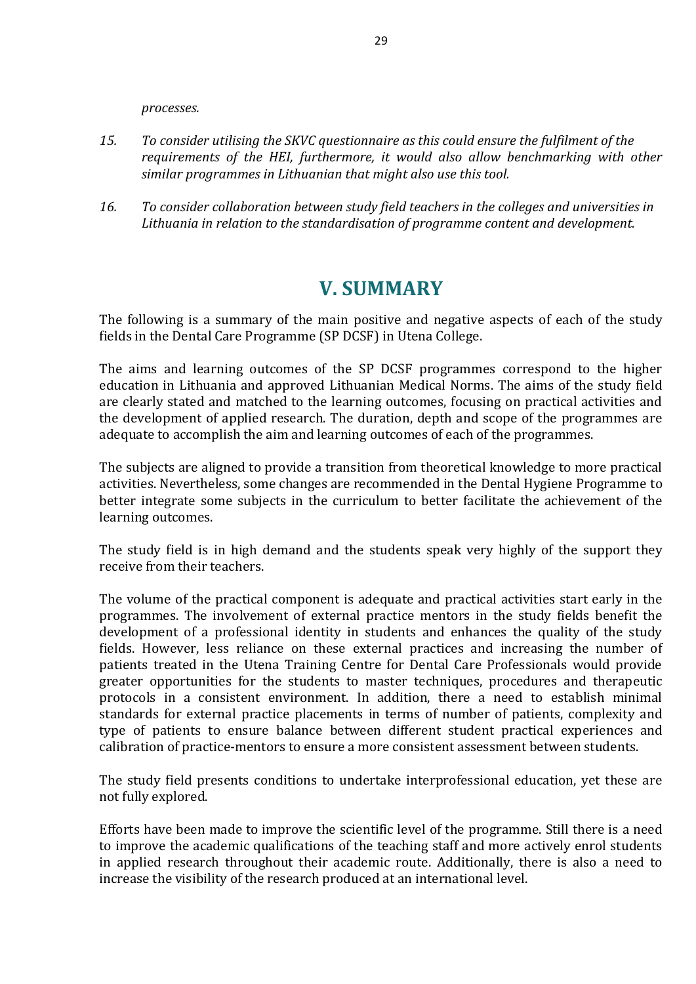*processes.*

- *15. To consider utilising the SKVC questionnaire as this could ensure the fulfilment of the requirements of the HEI, furthermore, it would also allow benchmarking with other similar programmes in Lithuanian that might also use this tool.*
- <span id="page-28-0"></span>*16. To consider collaboration between study field teachers in the colleges and universities in Lithuania in relation to the standardisation of programme content and development.*

## **V. SUMMARY**

The following is a summary of the main positive and negative aspects of each of the study fields in the Dental Care Programme (SP DCSF) in Utena College.

The aims and learning outcomes of the SP DCSF programmes correspond to the higher education in Lithuania and approved Lithuanian Medical Norms. The aims of the study field are clearly stated and matched to the learning outcomes, focusing on practical activities and the development of applied research. The duration, depth and scope of the programmes are adequate to accomplish the aim and learning outcomes of each of the programmes.

The subjects are aligned to provide a transition from theoretical knowledge to more practical activities. Nevertheless, some changes are recommended in the Dental Hygiene Programme to better integrate some subjects in the curriculum to better facilitate the achievement of the learning outcomes.

The study field is in high demand and the students speak very highly of the support they receive from their teachers.

The volume of the practical component is adequate and practical activities start early in the programmes. The involvement of external practice mentors in the study fields benefit the development of a professional identity in students and enhances the quality of the study fields. However, less reliance on these external practices and increasing the number of patients treated in the Utena Training Centre for Dental Care Professionals would provide greater opportunities for the students to master techniques, procedures and therapeutic protocols in a consistent environment. In addition, there a need to establish minimal standards for external practice placements in terms of number of patients, complexity and type of patients to ensure balance between different student practical experiences and calibration of practice-mentors to ensure a more consistent assessment between students.

The study field presents conditions to undertake interprofessional education, yet these are not fully explored.

Efforts have been made to improve the scientific level of the programme. Still there is a need to improve the academic qualifications of the teaching staff and more actively enrol students in applied research throughout their academic route. Additionally, there is also a need to increase the visibility of the research produced at an international level.